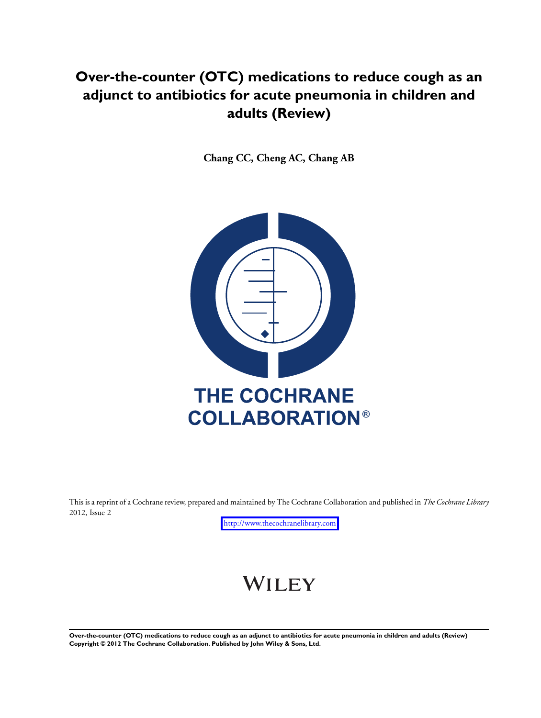## **Over-the-counter (OTC) medications to reduce cough as an adjunct to antibiotics for acute pneumonia in children and adults (Review)**

**Chang CC, Cheng AC, Chang AB**



This is a reprint of a Cochrane review, prepared and maintained by The Cochrane Collaboration and published in *The Cochrane Library* 2012, Issue 2

<http://www.thecochranelibrary.com>

# WILEY

**Over-the-counter (OTC) medications to reduce cough as an adjunct to antibiotics for acute pneumonia in children and adults (Review) Copyright © 2012 The Cochrane Collaboration. Published by John Wiley & Sons, Ltd.**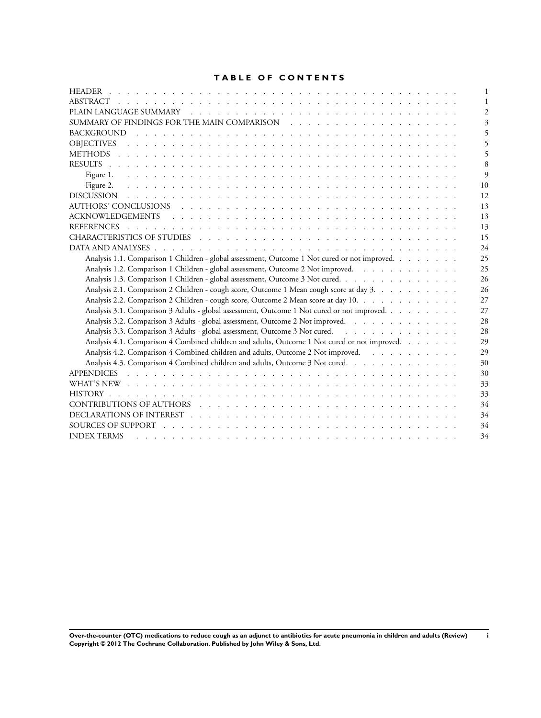## **TABLE OF CONTENTS**

| 3                                                                                                   |
|-----------------------------------------------------------------------------------------------------|
|                                                                                                     |
|                                                                                                     |
|                                                                                                     |
| 8                                                                                                   |
| 9                                                                                                   |
| 10                                                                                                  |
| 12                                                                                                  |
| 13                                                                                                  |
| 13                                                                                                  |
| 13                                                                                                  |
| 15                                                                                                  |
| 24                                                                                                  |
| Analysis 1.1. Comparison 1 Children - global assessment, Outcome 1 Not cured or not improved.<br>25 |
| Analysis 1.2. Comparison 1 Children - global assessment, Outcome 2 Not improved.<br>25              |
| Analysis 1.3. Comparison 1 Children - global assessment, Outcome 3 Not cured.<br>26                 |
| Analysis 2.1. Comparison 2 Children - cough score, Outcome 1 Mean cough score at day 3.<br>26       |
| Analysis 2.2. Comparison 2 Children - cough score, Outcome 2 Mean score at day 10.<br>27            |
| Analysis 3.1. Comparison 3 Adults - global assessment, Outcome 1 Not cured or not improved.<br>27   |
| Analysis 3.2. Comparison 3 Adults - global assessment, Outcome 2 Not improved.<br>28                |
| Analysis 3.3. Comparison 3 Adults - global assessment, Outcome 3 Not cured.<br>28                   |
| Analysis 4.1. Comparison 4 Combined children and adults, Outcome 1 Not cured or not improved.<br>29 |
| Analysis 4.2. Comparison 4 Combined children and adults, Outcome 2 Not improved.<br>29              |
| Analysis 4.3. Comparison 4 Combined children and adults, Outcome 3 Not cured.<br>30                 |
| 30                                                                                                  |
| 33                                                                                                  |
| 33                                                                                                  |
| 34                                                                                                  |
| 34                                                                                                  |
| 34                                                                                                  |
| 34<br><b>INDEX TERMS</b>                                                                            |

**Over-the-counter (OTC) medications to reduce cough as an adjunct to antibiotics for acute pneumonia in children and adults (Review) i Copyright © 2012 The Cochrane Collaboration. Published by John Wiley & Sons, Ltd.**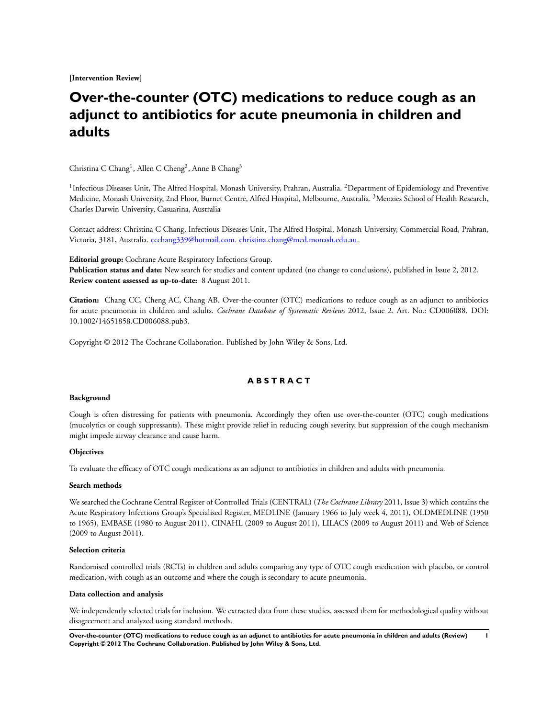**[Intervention Review]**

## **Over-the-counter (OTC) medications to reduce cough as an adjunct to antibiotics for acute pneumonia in children and adults**

Christina C Chang<sup>1</sup>, Allen C Cheng<sup>2</sup>, Anne B Chang<sup>3</sup>

<sup>1</sup>Infectious Diseases Unit, The Alfred Hospital, Monash University, Prahran, Australia. <sup>2</sup>Department of Epidemiology and Preventive Medicine, Monash University, 2nd Floor, Burnet Centre, Alfred Hospital, Melbourne, Australia. <sup>3</sup>Menzies School of Health Research, Charles Darwin University, Casuarina, Australia

Contact address: Christina C Chang, Infectious Diseases Unit, The Alfred Hospital, Monash University, Commercial Road, Prahran, Victoria, 3181, Australia. [ccchang339@hotmail.com.](mailto:ccchang339@hotmail.com) [christina.chang@med.monash.edu.au](mailto:christina.chang@med.monash.edu.au).

**Editorial group:** Cochrane Acute Respiratory Infections Group.

**Publication status and date:** New search for studies and content updated (no change to conclusions), published in Issue 2, 2012. **Review content assessed as up-to-date:** 8 August 2011.

**Citation:** Chang CC, Cheng AC, Chang AB. Over-the-counter (OTC) medications to reduce cough as an adjunct to antibiotics for acute pneumonia in children and adults. *Cochrane Database of Systematic Reviews* 2012, Issue 2. Art. No.: CD006088. DOI: 10.1002/14651858.CD006088.pub3.

Copyright © 2012 The Cochrane Collaboration. Published by John Wiley & Sons, Ltd.

## **A B S T R A C T**

#### **Background**

Cough is often distressing for patients with pneumonia. Accordingly they often use over-the-counter (OTC) cough medications (mucolytics or cough suppressants). These might provide relief in reducing cough severity, but suppression of the cough mechanism might impede airway clearance and cause harm.

#### **Objectives**

To evaluate the efficacy of OTC cough medications as an adjunct to antibiotics in children and adults with pneumonia.

#### **Search methods**

We searched the Cochrane Central Register of Controlled Trials (CENTRAL) (*The Cochrane Library* 2011, Issue 3) which contains the Acute Respiratory Infections Group's Specialised Register, MEDLINE (January 1966 to July week 4, 2011), OLDMEDLINE (1950 to 1965), EMBASE (1980 to August 2011), CINAHL (2009 to August 2011), LILACS (2009 to August 2011) and Web of Science (2009 to August 2011).

#### **Selection criteria**

Randomised controlled trials (RCTs) in children and adults comparing any type of OTC cough medication with placebo, or control medication, with cough as an outcome and where the cough is secondary to acute pneumonia.

#### **Data collection and analysis**

We independently selected trials for inclusion. We extracted data from these studies, assessed them for methodological quality without disagreement and analyzed using standard methods.

**Over-the-counter (OTC) medications to reduce cough as an adjunct to antibiotics for acute pneumonia in children and adults (Review) 1 Copyright © 2012 The Cochrane Collaboration. Published by John Wiley & Sons, Ltd.**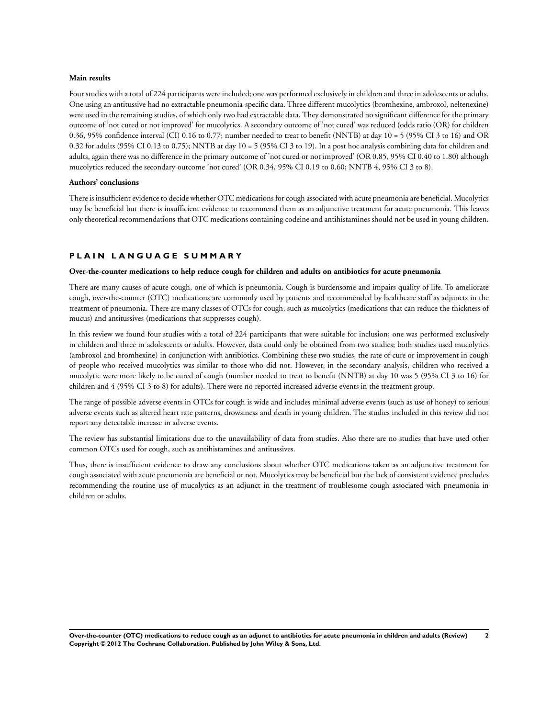#### **Main results**

Four studies with a total of 224 participants were included; one was performed exclusively in children and three in adolescents or adults. One using an antitussive had no extractable pneumonia-specific data. Three different mucolytics (bromhexine, ambroxol, neltenexine) were used in the remaining studies, of which only two had extractable data. They demonstrated no significant difference for the primary outcome of 'not cured or not improved' for mucolytics. A secondary outcome of 'not cured' was reduced (odds ratio (OR) for children 0.36, 95% confidence interval (CI) 0.16 to 0.77; number needed to treat to benefit (NNTB) at day 10 = 5 (95% CI 3 to 16) and OR 0.32 for adults (95% CI 0.13 to 0.75); NNTB at day  $10 = 5$  (95% CI 3 to 19). In a post hoc analysis combining data for children and adults, again there was no difference in the primary outcome of 'not cured or not improved' (OR 0.85, 95% CI 0.40 to 1.80) although mucolytics reduced the secondary outcome 'not cured' (OR 0.34, 95% CI 0.19 to 0.60; NNTB 4, 95% CI 3 to 8).

#### **Authors' conclusions**

There is insufficient evidence to decide whether OTC medications for cough associated with acute pneumonia are beneficial. Mucolytics may be beneficial but there is insufficient evidence to recommend them as an adjunctive treatment for acute pneumonia. This leaves only theoretical recommendations that OTC medications containing codeine and antihistamines should not be used in young children.

#### **P L A I N L A N G U A G E S U M M A R Y**

#### **Over-the-counter medications to help reduce cough for children and adults on antibiotics for acute pneumonia**

There are many causes of acute cough, one of which is pneumonia. Cough is burdensome and impairs quality of life. To ameliorate cough, over-the-counter (OTC) medications are commonly used by patients and recommended by healthcare staff as adjuncts in the treatment of pneumonia. There are many classes of OTCs for cough, such as mucolytics (medications that can reduce the thickness of mucus) and antitussives (medications that suppresses cough).

In this review we found four studies with a total of 224 participants that were suitable for inclusion; one was performed exclusively in children and three in adolescents or adults. However, data could only be obtained from two studies; both studies used mucolytics (ambroxol and bromhexine) in conjunction with antibiotics. Combining these two studies, the rate of cure or improvement in cough of people who received mucolytics was similar to those who did not. However, in the secondary analysis, children who received a mucolytic were more likely to be cured of cough (number needed to treat to benefit (NNTB) at day 10 was 5 (95% CI 3 to 16) for children and 4 (95% CI 3 to 8) for adults). There were no reported increased adverse events in the treatment group.

The range of possible adverse events in OTCs for cough is wide and includes minimal adverse events (such as use of honey) to serious adverse events such as altered heart rate patterns, drowsiness and death in young children. The studies included in this review did not report any detectable increase in adverse events.

The review has substantial limitations due to the unavailability of data from studies. Also there are no studies that have used other common OTCs used for cough, such as antihistamines and antitussives.

Thus, there is insufficient evidence to draw any conclusions about whether OTC medications taken as an adjunctive treatment for cough associated with acute pneumonia are beneficial or not. Mucolytics may be beneficial but the lack of consistent evidence precludes recommending the routine use of mucolytics as an adjunct in the treatment of troublesome cough associated with pneumonia in children or adults.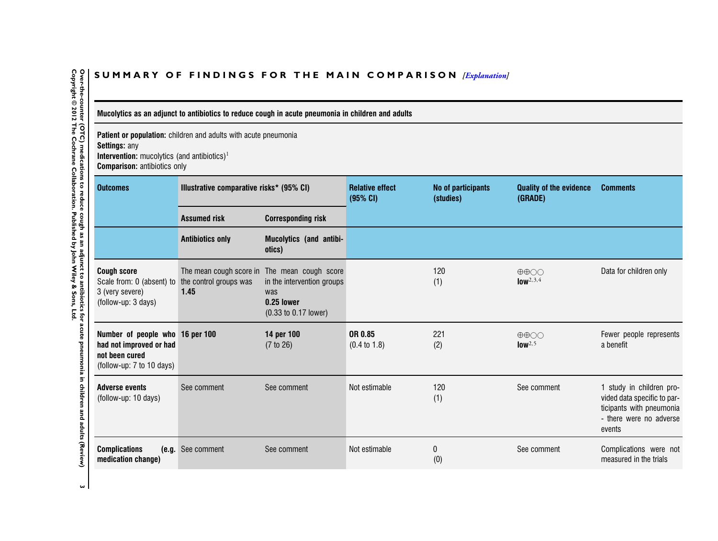## SUMMARY OF FINDINGS FOR THE MAIN COMPARISON *[\[Explanation\]](http://www.thecochranelibrary.com/view/0/SummaryFindings.html)*

Mucolytics as an adjunct to antibiotics to reduce cough in acute pneumonia in children and adults

**Patient or population:** children and adults with acute pneumonia **Settings:** any

**Intervention:** mucolytics (and antibiotics) 1 **Comparison:** antibiotics only

| <b>Outcomes</b>                                                                                           | Illustrative comparative risks* (95% CI)                  |                                                                                                                    | <b>Relative effect</b><br>(95% CI) | No of participants<br>(studies) | <b>Quality of the evidence</b><br>(GRADE)               | <b>Comments</b>                                                                                                          |
|-----------------------------------------------------------------------------------------------------------|-----------------------------------------------------------|--------------------------------------------------------------------------------------------------------------------|------------------------------------|---------------------------------|---------------------------------------------------------|--------------------------------------------------------------------------------------------------------------------------|
|                                                                                                           | <b>Assumed risk</b>                                       | <b>Corresponding risk</b>                                                                                          |                                    |                                 |                                                         |                                                                                                                          |
|                                                                                                           | <b>Antibiotics only</b>                                   | Mucolytics (and antibi-<br>otics)                                                                                  |                                    |                                 |                                                         |                                                                                                                          |
| <b>Cough score</b><br>Scale from: 0 (absent) to<br>3 (very severe)<br>(follow-up: 3 days)                 | The mean cough score in<br>the control groups was<br>1.45 | The mean cough score<br>in the intervention groups<br>was<br>0.25 lower<br>$(0.33 \text{ to } 0.17 \text{ lower})$ |                                    | 120<br>(1)                      | $\oplus \oplus \odot \odot$<br>$low^{2,3,4}$            | Data for children only                                                                                                   |
| Number of people who 16 per 100<br>had not improved or had<br>not been cured<br>(follow-up: 7 to 10 days) |                                                           | 14 per 100<br>(7 to 26)                                                                                            | OR 0.85<br>$(0.4 \text{ to } 1.8)$ | 221<br>(2)                      | $\oplus \oplus \bigcirc \bigcirc$<br>low <sup>2,5</sup> | Fewer people represents<br>a benefit                                                                                     |
| <b>Adverse events</b><br>(follow-up: 10 days)                                                             | See comment                                               | See comment                                                                                                        | Not estimable                      | 120<br>(1)                      | See comment                                             | 1 study in children pro-<br>vided data specific to par-<br>ticipants with pneumonia<br>- there were no adverse<br>events |
| <b>Complications</b><br>(e.g.<br>medication change)                                                       | See comment                                               | See comment                                                                                                        | Not estimable                      | 0<br>(0)                        | See comment                                             | Complications were not<br>measured in the trials                                                                         |

<span id="page-4-0"></span>Over-the-counter (OTC) medications to reduce cough as an adjunct to antibiotics for acute pneumonia in children and adults (Review)<br>Copyright © 2012 The Cochrane Collaboration. Published by John Wiley & Sons, Ltd. **Copyright © 2012 The Cochrane Collaboration. Published by John Wiley & Sons, Ltd.3 Over-the-counter (OTC) medications to reduce cough as an adjunct to antibiotics for acute pneumonia in children and adults (Review)**

 $\omega$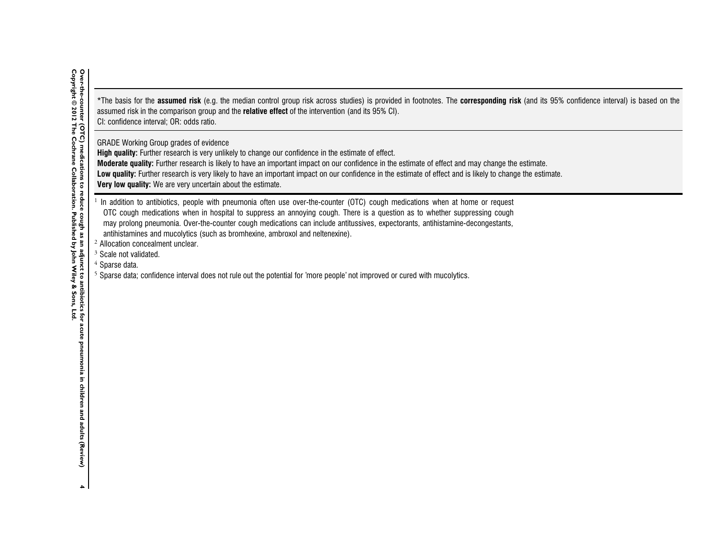\*The basis for the **assumed risk** (e.g. the median control group risk across studies) is provided in footnotes. The **corresponding risk** (and its 95% confidence interval) is based on the assumed risk in the comparison group and the **relative effect** of the intervention (and its 95% CI). CI: confidence interval; OR: odds ratio.

GRADE Working Group grades of evidence

**High quality:** Further research is very unlikely to change our confidence in the estimate of effect.

**Moderate quality:** Further research is likely to have an important impact on our confidence in the estimate of effect and may change the estimate.

Low quality: Further research is very likely to have an important impact on our confidence in the estimate of effect and is likely to change the estimate.

**Very low quality:** We are very uncertain about the estimate.

 $1$  In addition to antibiotics, people with pneumonia often use over-the-counter (OTC) cough medications when at home or request OTC cough medications when in hospital to suppress an annoying cough. There is <sup>a</sup> question as to whether suppressing cough may prolong pneumonia. Over-the-counter cough medications can include antitussives, expectorants, antihistamine-decongestants, antihistamines and mucolytics (such as bromhexine, ambroxol and neltenexine).

 $2$  Allocation concealment unclear.

 $3$  Scale not validated.

 $4$  Sparse data.

 $^5$  Sparse data; confidence interval does not rule out the potential for 'more people' not improved or cured with mucolytics.

 $\blacktriangle$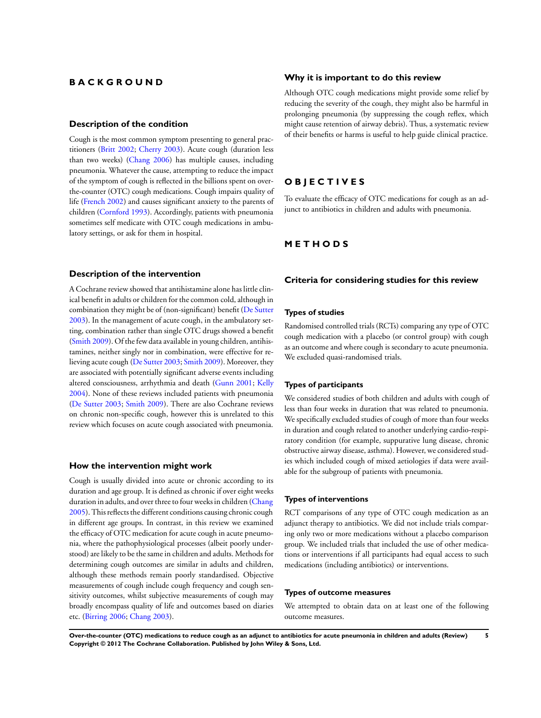## <span id="page-6-0"></span>**B A C K G R O U N D**

#### **Description of the condition**

Cough is the most common symptom presenting to general practitioners ([Britt 2002;](#page-14-0) [Cherry 2003\)](#page-14-0). Acute cough (duration less than two weeks) ([Chang 2006\)](#page-14-0) has multiple causes, including pneumonia. Whatever the cause, attempting to reduce the impact of the symptom of cough is reflected in the billions spent on overthe-counter (OTC) cough medications. Cough impairs quality of life ([French 2002](#page-14-0)) and causes significant anxiety to the parents of children ([Cornford 1993](#page-14-0)). Accordingly, patients with pneumonia sometimes self medicate with OTC cough medications in ambulatory settings, or ask for them in hospital.

#### **Description of the intervention**

A Cochrane review showed that antihistamine alone has little clinical benefit in adults or children for the common cold, although in combination they might be of (non-significant) benefit [\(De Sutter](#page-14-0) [2003](#page-14-0)). In the management of acute cough, in the ambulatory setting, combination rather than single OTC drugs showed a benefit [\(Smith 2009\)](#page-14-0). Of the few data available in young children, antihistamines, neither singly nor in combination, were effective for relieving acute cough [\(De Sutter 2003;](#page-14-0) [Smith 2009\)](#page-14-0). Moreover, they are associated with potentially significant adverse events including altered consciousness, arrhythmia and death ([Gunn 2001](#page-14-0); [Kelly](#page-14-0) [2004](#page-14-0)). None of these reviews included patients with pneumonia [\(De Sutter 2003;](#page-14-0) [Smith 2009](#page-14-0)). There are also Cochrane reviews on chronic non-specific cough, however this is unrelated to this review which focuses on acute cough associated with pneumonia.

#### **How the intervention might work**

Cough is usually divided into acute or chronic according to its duration and age group. It is defined as chronic if over eight weeks duration in adults, and over three to four weeks in children [\(Chang](#page-14-0) [2005](#page-14-0)). This reflects the different conditions causing chronic cough in different age groups. In contrast, in this review we examined the efficacy of OTC medication for acute cough in acute pneumonia, where the pathophysiological processes (albeit poorly understood) are likely to be the same in children and adults. Methods for determining cough outcomes are similar in adults and children, although these methods remain poorly standardised. Objective measurements of cough include cough frequency and cough sensitivity outcomes, whilst subjective measurements of cough may broadly encompass quality of life and outcomes based on diaries etc. [\(Birring 2006](#page-14-0); [Chang 2003](#page-14-0)).

#### **Why it is important to do this review**

Although OTC cough medications might provide some relief by reducing the severity of the cough, they might also be harmful in prolonging pneumonia (by suppressing the cough reflex, which might cause retention of airway debris). Thus, a systematic review of their benefits or harms is useful to help guide clinical practice.

## **O B J E C T I V E S**

To evaluate the efficacy of OTC medications for cough as an adjunct to antibiotics in children and adults with pneumonia.

#### **M E T H O D S**

#### **Criteria for considering studies for this review**

#### **Types of studies**

Randomised controlled trials (RCTs) comparing any type of OTC cough medication with a placebo (or control group) with cough as an outcome and where cough is secondary to acute pneumonia. We excluded quasi-randomised trials.

#### **Types of participants**

We considered studies of both children and adults with cough of less than four weeks in duration that was related to pneumonia. We specifically excluded studies of cough of more than four weeks in duration and cough related to another underlying cardio-respiratory condition (for example, suppurative lung disease, chronic obstructive airway disease, asthma). However, we considered studies which included cough of mixed aetiologies if data were available for the subgroup of patients with pneumonia.

#### **Types of interventions**

RCT comparisons of any type of OTC cough medication as an adjunct therapy to antibiotics. We did not include trials comparing only two or more medications without a placebo comparison group. We included trials that included the use of other medications or interventions if all participants had equal access to such medications (including antibiotics) or interventions.

#### **Types of outcome measures**

We attempted to obtain data on at least one of the following outcome measures.

**Over-the-counter (OTC) medications to reduce cough as an adjunct to antibiotics for acute pneumonia in children and adults (Review) 5 Copyright © 2012 The Cochrane Collaboration. Published by John Wiley & Sons, Ltd.**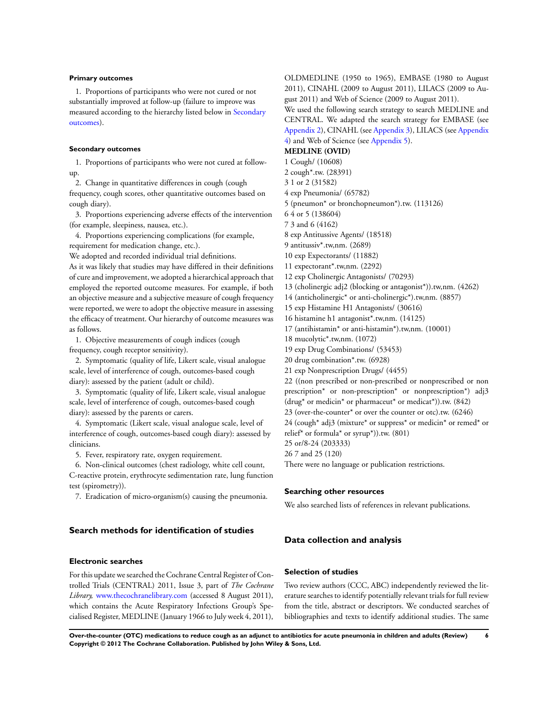#### **Primary outcomes**

1. Proportions of participants who were not cured or not substantially improved at follow-up (failure to improve was measured according to the hierarchy listed below in [Secondary](#page-6-0) [outcomes](#page-6-0)).

#### **Secondary outcomes**

1. Proportions of participants who were not cured at followup.

2. Change in quantitative differences in cough (cough frequency, cough scores, other quantitative outcomes based on cough diary).

3. Proportions experiencing adverse effects of the intervention (for example, sleepiness, nausea, etc.).

4. Proportions experiencing complications (for example, requirement for medication change, etc.).

We adopted and recorded individual trial definitions.

As it was likely that studies may have differed in their definitions of cure and improvement, we adopted a hierarchical approach that employed the reported outcome measures. For example, if both an objective measure and a subjective measure of cough frequency were reported, we were to adopt the objective measure in assessing the efficacy of treatment. Our hierarchy of outcome measures was as follows.

1. Objective measurements of cough indices (cough frequency, cough receptor sensitivity).

2. Symptomatic (quality of life, Likert scale, visual analogue scale, level of interference of cough, outcomes-based cough diary): assessed by the patient (adult or child).

3. Symptomatic (quality of life, Likert scale, visual analogue scale, level of interference of cough, outcomes-based cough diary): assessed by the parents or carers.

4. Symptomatic (Likert scale, visual analogue scale, level of interference of cough, outcomes-based cough diary): assessed by clinicians.

5. Fever, respiratory rate, oxygen requirement.

6. Non-clinical outcomes (chest radiology, white cell count, C-reactive protein, erythrocyte sedimentation rate, lung function test (spirometry)).

7. Eradication of micro-organism(s) causing the pneumonia.

#### **Search methods for identification of studies**

#### **Electronic searches**

For this update we searched the Cochrane Central Register of Controlled Trials (CENTRAL) 2011, Issue 3, part of *The Cochrane Library,* [www.thecochranelibrary.com](http://www.thecochranelibrary.com) (accessed 8 August 2011), which contains the Acute Respiratory Infections Group's Specialised Register, MEDLINE (January 1966 to July week 4, 2011), OLDMEDLINE (1950 to 1965), EMBASE (1980 to August 2011), CINAHL (2009 to August 2011), LILACS (2009 to August 2011) and Web of Science (2009 to August 2011).

We used the following search strategy to search MEDLINE and CENTRAL. We adapted the search strategy for EMBASE (see [Appendix 2](#page-32-0)), CINAHL (see [Appendix 3](#page-33-0)), LILACS (see [Appendix](#page-34-0) [4\)](#page-34-0) and Web of Science (see [Appendix 5](#page-34-0)).

**MEDLINE (OVID)**

1 Cough/ (10608)

2 cough\*.tw. (28391) 3 1 or 2 (31582)

4 exp Pneumonia/ (65782)

5 (pneumon\* or bronchopneumon\*).tw. (113126)

6 4 or 5 (138604)

7 3 and 6 (4162)

8 exp Antitussive Agents/ (18518)

9 antitussiv\*.tw,nm. (2689)

10 exp Expectorants/ (11882)

11 expectorant\*.tw,nm. (2292)

12 exp Cholinergic Antagonists/ (70293)

13 (cholinergic adj2 (blocking or antagonist\*)).tw,nm. (4262)

14 (anticholinergic\* or anti-cholinergic\*).tw,nm. (8857)

15 exp Histamine H1 Antagonists/ (30616)

16 histamine h1 antagonist\*.tw,nm. (14125)

17 (antihistamin\* or anti-histamin\*).tw,nm. (10001)

18 mucolytic\*.tw,nm. (1072)

19 exp Drug Combinations/ (53453)

20 drug combination\*.tw. (6928)

21 exp Nonprescription Drugs/ (4455)

22 ((non prescribed or non-prescribed or nonprescribed or non prescription\* or non-prescription\* or nonprescription\*) adj3 (drug\* or medicin\* or pharmaceut\* or medicat\*)).tw. (842) 23 (over-the-counter\* or over the counter or otc).tw. (6246) 24 (cough\* adj3 (mixture\* or suppress\* or medicin\* or remed\* or relief\* or formula\* or syrup\*)).tw. (801) 25 or/8-24 (203333) 26 7 and 25 (120)

There were no language or publication restrictions.

#### **Searching other resources**

We also searched lists of references in relevant publications.

#### **Data collection and analysis**

#### **Selection of studies**

Two review authors (CCC, ABC) independently reviewed the literature searches to identify potentially relevant trials for full review from the title, abstract or descriptors. We conducted searches of bibliographies and texts to identify additional studies. The same

**Over-the-counter (OTC) medications to reduce cough as an adjunct to antibiotics for acute pneumonia in children and adults (Review) 6 Copyright © 2012 The Cochrane Collaboration. Published by John Wiley & Sons, Ltd.**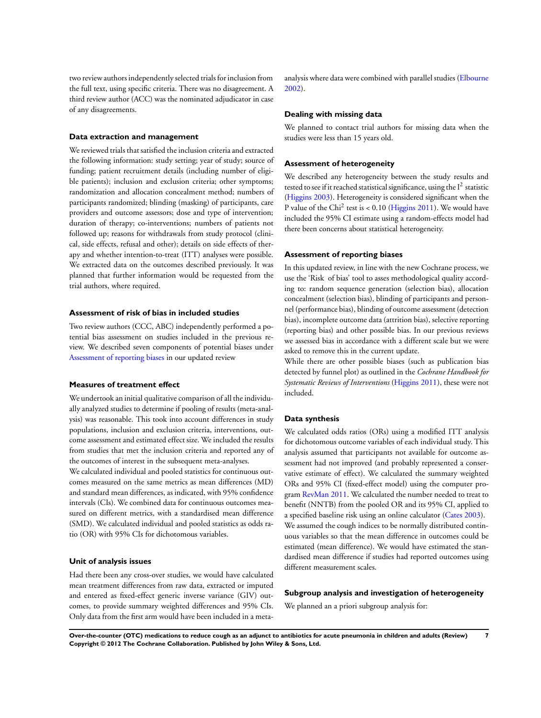two review authors independently selected trials for inclusion from the full text, using specific criteria. There was no disagreement. A third review author (ACC) was the nominated adjudicator in case of any disagreements.

#### **Data extraction and management**

We reviewed trials that satisfied the inclusion criteria and extracted the following information: study setting; year of study; source of funding; patient recruitment details (including number of eligible patients); inclusion and exclusion criteria; other symptoms; randomization and allocation concealment method; numbers of participants randomized; blinding (masking) of participants, care providers and outcome assessors; dose and type of intervention; duration of therapy; co-interventions; numbers of patients not followed up; reasons for withdrawals from study protocol (clinical, side effects, refusal and other); details on side effects of therapy and whether intention-to-treat (ITT) analyses were possible. We extracted data on the outcomes described previously. It was planned that further information would be requested from the trial authors, where required.

#### **Assessment of risk of bias in included studies**

Two review authors (CCC, ABC) independently performed a potential bias assessment on studies included in the previous review. We described seven components of potential biases under [Assessment of reporting biases](#page-6-0) in our updated review

#### **Measures of treatment effect**

We undertook an initial qualitative comparison of all the individually analyzed studies to determine if pooling of results (meta-analysis) was reasonable. This took into account differences in study populations, inclusion and exclusion criteria, interventions, outcome assessment and estimated effect size. We included the results from studies that met the inclusion criteria and reported any of the outcomes of interest in the subsequent meta-analyses.

We calculated individual and pooled statistics for continuous outcomes measured on the same metrics as mean differences (MD) and standard mean differences, as indicated, with 95% confidence intervals (CIs). We combined data for continuous outcomes measured on different metrics, with a standardised mean difference (SMD). We calculated individual and pooled statistics as odds ratio (OR) with 95% CIs for dichotomous variables.

#### **Unit of analysis issues**

Had there been any cross-over studies, we would have calculated mean treatment differences from raw data, extracted or imputed and entered as fixed-effect generic inverse variance (GIV) outcomes, to provide summary weighted differences and 95% CIs. Only data from the first arm would have been included in a metaanalysis where data were combined with parallel studies [\(Elbourne](#page-14-0) [2002](#page-14-0)).

#### **Dealing with missing data**

We planned to contact trial authors for missing data when the studies were less than 15 years old.

#### **Assessment of heterogeneity**

We described any heterogeneity between the study results and tested to see if it reached statistical significance, using the  $I^2$  statistic [\(Higgins 2003](#page-14-0)). Heterogeneity is considered significant when the P value of the Chi<sup>2</sup> test is < 0.10 [\(Higgins 2011\)](#page-14-0). We would have included the 95% CI estimate using a random-effects model had there been concerns about statistical heterogeneity.

#### **Assessment of reporting biases**

In this updated review, in line with the new Cochrane process, we use the 'Risk of bias' tool to asses methodological quality according to: random sequence generation (selection bias), allocation concealment (selection bias), blinding of participants and personnel (performance bias), blinding of outcome assessment (detection bias), incomplete outcome data (attrition bias), selective reporting (reporting bias) and other possible bias. In our previous reviews we assessed bias in accordance with a different scale but we were asked to remove this in the current update.

While there are other possible biases (such as publication bias detected by funnel plot) as outlined in the *Cochrane Handbook for Systematic Reviews of Interventions* ([Higgins 2011](#page-14-0)), these were not included.

#### **Data synthesis**

We calculated odds ratios (ORs) using a modified ITT analysis for dichotomous outcome variables of each individual study. This analysis assumed that participants not available for outcome assessment had not improved (and probably represented a conservative estimate of effect). We calculated the summary weighted ORs and 95% CI (fixed-effect model) using the computer program [RevMan 2011](#page-14-0). We calculated the number needed to treat to benefit (NNTB) from the pooled OR and its 95% CI, applied to a specified baseline risk using an online calculator ([Cates 2003](#page-14-0)). We assumed the cough indices to be normally distributed continuous variables so that the mean difference in outcomes could be estimated (mean difference). We would have estimated the standardised mean difference if studies had reported outcomes using different measurement scales.

#### **Subgroup analysis and investigation of heterogeneity**

We planned an a priori subgroup analysis for:

**Over-the-counter (OTC) medications to reduce cough as an adjunct to antibiotics for acute pneumonia in children and adults (Review) 7 Copyright © 2012 The Cochrane Collaboration. Published by John Wiley & Sons, Ltd.**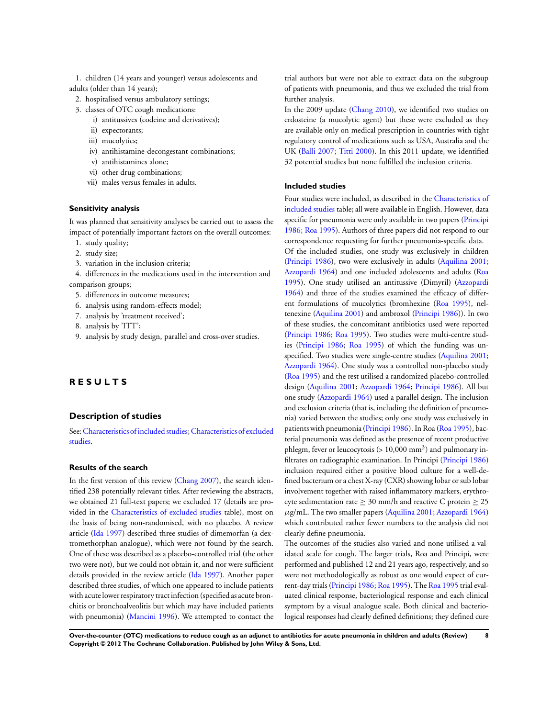1. children (14 years and younger) versus adolescents and adults (older than 14 years);

- 2. hospitalised versus ambulatory settings;
- 3. classes of OTC cough medications:
	- i) antitussives (codeine and derivatives);
	- ii) expectorants;
	- iii) mucolytics;
	- iv) antihistamine-decongestant combinations;
	- v) antihistamines alone;
	- vi) other drug combinations;
	- vii) males versus females in adults.

#### **Sensitivity analysis**

It was planned that sensitivity analyses be carried out to assess the impact of potentially important factors on the overall outcomes:

- 1. study quality;
- 2. study size;
- 3. variation in the inclusion criteria;
- 4. differences in the medications used in the intervention and comparison groups;
	- 5. differences in outcome measures;
	- 6. analysis using random-effects model;
	- 7. analysis by 'treatment received';
	- 8. analysis by 'ITT';
	- 9. analysis by study design, parallel and cross-over studies.

## **R E S U L T S**

#### **Description of studies**

See:[Characteristics of included studies;](#page-17-0)[Characteristics of excluded](#page-23-0) [studies.](#page-23-0)

#### **Results of the search**

In the first version of this review ([Chang 2007](#page-14-0)), the search identified 238 potentially relevant titles. After reviewing the abstracts, we obtained 21 full-text papers; we excluded 17 (details are provided in the [Characteristics of excluded studies](#page-23-0) table), most on the basis of being non-randomised, with no placebo. A review article ([Ida 1997\)](#page-14-0) described three studies of dimemorfan (a dextromethorphan analogue), which were not found by the search. One of these was described as a placebo-controlled trial (the other two were not), but we could not obtain it, and nor were sufficient details provided in the review article [\(Ida 1997](#page-14-0)). Another paper described three studies, of which one appeared to include patients with acute lower respiratory tract infection (specified as acute bronchitis or bronchoalveolitis but which may have included patients with pneumonia) [\(Mancini 1996](#page-14-0)). We attempted to contact the trial authors but were not able to extract data on the subgroup of patients with pneumonia, and thus we excluded the trial from further analysis.

In the 2009 update [\(Chang 2010](#page-14-0)), we identified two studies on erdosteine (a mucolytic agent) but these were excluded as they are available only on medical prescription in countries with tight regulatory control of medications such as USA, Australia and the UK ([Balli 2007](#page-14-0); [Titti 2000\)](#page-14-0). In this 2011 update, we identified 32 potential studies but none fulfilled the inclusion criteria.

#### **Included studies**

Four studies were included, as described in the [Characteristics of](#page-17-0) [included studies](#page-17-0) table; all were available in English. However, data specific for pneumonia were only available in two papers ([Principi](#page-14-0) [1986](#page-14-0); [Roa 1995](#page-14-0)). Authors of three papers did not respond to our correspondence requesting for further pneumonia-specific data.

Of the included studies, one study was exclusively in children [\(Principi 1986\)](#page-14-0), two were exclusively in adults ([Aquilina 2001;](#page-14-0) [Azzopardi 1964](#page-14-0)) and one included adolescents and adults ([Roa](#page-14-0) [1995](#page-14-0)). One study utilised an antitussive (Dimyril) ([Azzopardi](#page-14-0) [1964](#page-14-0)) and three of the studies examined the efficacy of different formulations of mucolytics (bromhexine [\(Roa 1995\)](#page-14-0), neltenexine ([Aquilina 2001\)](#page-14-0) and ambroxol ([Principi 1986\)](#page-14-0)). In two of these studies, the concomitant antibiotics used were reported [\(Principi 1986](#page-14-0); [Roa 1995\)](#page-14-0). Two studies were multi-centre studies ([Principi 1986](#page-14-0); [Roa 1995](#page-14-0)) of which the funding was unspecified. Two studies were single-centre studies ([Aquilina 2001;](#page-14-0) [Azzopardi 1964](#page-14-0)). One study was a controlled non-placebo study [\(Roa 1995\)](#page-14-0) and the rest utilised a randomized placebo-controlled design [\(Aquilina 2001;](#page-14-0) [Azzopardi 1964](#page-14-0); [Principi 1986\)](#page-14-0). All but one study [\(Azzopardi 1964](#page-14-0)) used a parallel design. The inclusion and exclusion criteria (that is, including the definition of pneumonia) varied between the studies; only one study was exclusively in patients with pneumonia [\(Principi 1986](#page-14-0)). In Roa [\(Roa 1995\)](#page-14-0), bacterial pneumonia was defined as the presence of recent productive phlegm, fever or leucocytosis ( $> 10,000$  mm<sup>3</sup>) and pulmonary infiltrates on radiographic examination. In Principi ([Principi 1986](#page-14-0)) inclusion required either a positive blood culture for a well-defined bacterium or a chest X-ray (CXR) showing lobar or sub lobar involvement together with raised inflammatory markers, erythrocyte sedimentation rate  $> 30$  mm/h and reactive C protein  $> 25$  $\mu$ g/mL. The two smaller papers ([Aquilina 2001;](#page-14-0) [Azzopardi 1964](#page-14-0)) which contributed rather fewer numbers to the analysis did not clearly define pneumonia.

The outcomes of the studies also varied and none utilised a validated scale for cough. The larger trials, Roa and Principi, were performed and published 12 and 21 years ago, respectively, and so were not methodologically as robust as one would expect of current-day trials [\(Principi 1986](#page-14-0); [Roa 1995](#page-14-0)). The [Roa 1995](#page-14-0) trial evaluated clinical response, bacteriological response and each clinical symptom by a visual analogue scale. Both clinical and bacteriological responses had clearly defined definitions; they defined cure

**Over-the-counter (OTC) medications to reduce cough as an adjunct to antibiotics for acute pneumonia in children and adults (Review) 8 Copyright © 2012 The Cochrane Collaboration. Published by John Wiley & Sons, Ltd.**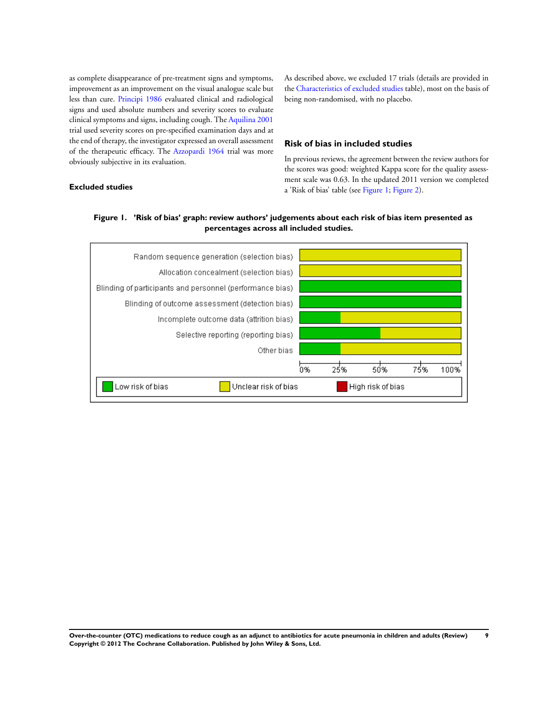as complete disappearance of pre-treatment signs and symptoms, improvement as an improvement on the visual analogue scale but less than cure. [Principi 1986](#page-14-0) evaluated clinical and radiological signs and used absolute numbers and severity scores to evaluate clinical symptoms and signs, including cough. The [Aquilina 2001](#page-14-0) trial used severity scores on pre-specified examination days and at the end of therapy, the investigator expressed an overall assessment of the therapeutic efficacy. The [Azzopardi 1964](#page-14-0) trial was more obviously subjective in its evaluation.

**Excluded studies**

As described above, we excluded 17 trials (details are provided in the [Characteristics of excluded studies](#page-23-0) table), most on the basis of being non-randomised, with no placebo.

#### **Risk of bias in included studies**

In previous reviews, the agreement between the review authors for the scores was good: weighted Kappa score for the quality assessment scale was 0.63. In the updated 2011 version we completed a 'Risk of bias' table (see Figure 1; [Figure 2](#page-11-0)).

## **Figure 1. 'Risk of bias' graph: review authors' judgements about each risk of bias item presented as percentages across all included studies.**



**Over-the-counter (OTC) medications to reduce cough as an adjunct to antibiotics for acute pneumonia in children and adults (Review) 9 Copyright © 2012 The Cochrane Collaboration. Published by John Wiley & Sons, Ltd.**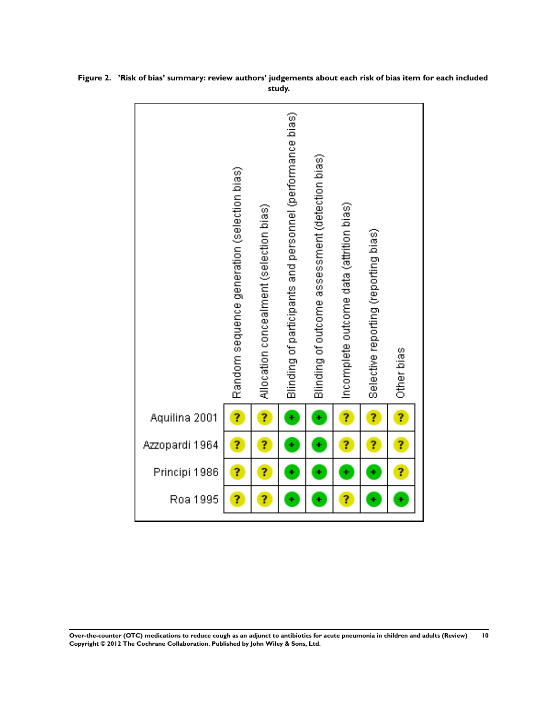|                | Random sequence generation (selection bias) | Allocation concealment (selection bias) | Blinding of participants and personnel (performance bias) | Blinding of outcome assessment (detection bias) | Incomplete outcome data (attrition bias) | Selective reporting (reporting bias) | Other bias |
|----------------|---------------------------------------------|-----------------------------------------|-----------------------------------------------------------|-------------------------------------------------|------------------------------------------|--------------------------------------|------------|
| Aquilina 2001  | ?                                           | ?                                       | ÷                                                         | Ŧ                                               | Ĩ,                                       | ?                                    | Ĩ,         |
| Azzopardi 1964 | ?                                           | Ĩ,                                      | ÷                                                         | ÷                                               | ?                                        | ?                                    | Ĩ,         |
| Principi 1986  | ?                                           | Ĩ,                                      | ÷                                                         | ¥                                               | ÷                                        | ÷                                    | ?          |
| Roa 1995       | ?                                           | Ĩ,                                      | ÷                                                         | ÷                                               | 7                                        | ÷                                    | ÷          |

<span id="page-11-0"></span>**Figure 2. 'Risk of bias' summary: review authors' judgements about each risk of bias item for each included study.**

**Over-the-counter (OTC) medications to reduce cough as an adjunct to antibiotics for acute pneumonia in children and adults (Review) 10 Copyright © 2012 The Cochrane Collaboration. Published by John Wiley & Sons, Ltd.**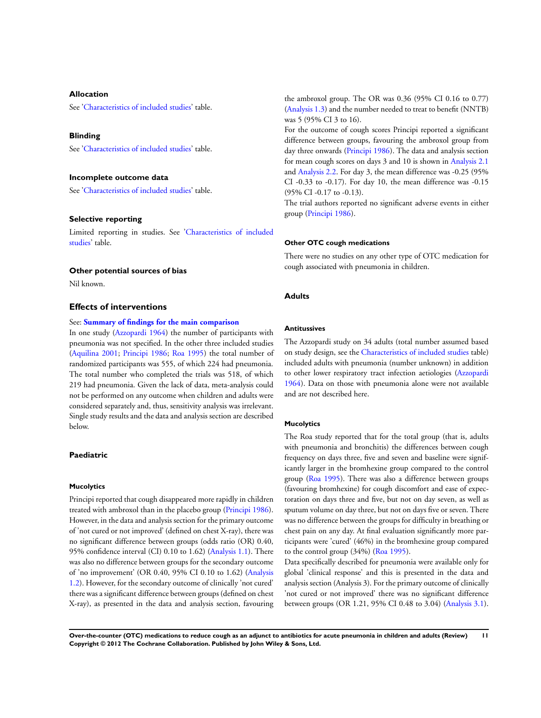#### **Allocation**

See'[Characteristics of included studies](#page-17-0)' table.

#### **Blinding**

See'[Characteristics of included studies](#page-17-0)' table.

#### **Incomplete outcome data**

See'[Characteristics of included studies](#page-17-0)' table.

#### **Selective reporting**

Limited reporting in studies. See ['Characteristics of included](#page-17-0) [studies'](#page-17-0) table.

#### **Other potential sources of bias**

Nil known.

#### **Effects of interventions**

#### See: **[Summary of findings for the main comparison](#page-4-0)**

In one study ([Azzopardi 1964](#page-14-0)) the number of participants with pneumonia was not specified. In the other three included studies [\(Aquilina 2001](#page-14-0); [Principi 1986](#page-14-0); [Roa 1995\)](#page-14-0) the total number of randomized participants was 555, of which 224 had pneumonia. The total number who completed the trials was 518, of which 219 had pneumonia. Given the lack of data, meta-analysis could not be performed on any outcome when children and adults were considered separately and, thus, sensitivity analysis was irrelevant. Single study results and the data and analysis section are described below.

#### **Paediatric**

#### **Mucolytics**

Principi reported that cough disappeared more rapidly in children treated with ambroxol than in the placebo group ([Principi 1986](#page-14-0)). However, in the data and analysis section for the primary outcome of 'not cured or not improved' (defined on chest X-ray), there was no significant difference between groups (odds ratio (OR) 0.40, 95% confidence interval (CI) 0.10 to 1.62) [\(Analysis 1.1](#page-26-0)). There was also no difference between groups for the secondary outcome of 'no improvement' (OR 0.40, 95% CI 0.10 to 1.62) ([Analysis](#page-26-0) [1.2](#page-26-0)). However, for the secondary outcome of clinically 'not cured' there was a significant difference between groups (defined on chest X-ray), as presented in the data and analysis section, favouring the ambroxol group. The OR was 0.36 (95% CI 0.16 to 0.77) [\(Analysis 1.3](#page-26-0)) and the number needed to treat to benefit (NNTB) was 5 (95% CI 3 to 16).

For the outcome of cough scores Principi reported a significant difference between groups, favouring the ambroxol group from day three onwards ([Principi 1986](#page-14-0)). The data and analysis section for mean cough scores on days 3 and 10 is shown in [Analysis 2.1](#page-27-0) and [Analysis 2.2](#page-28-0). For day 3, the mean difference was -0.25 (95% CI -0.33 to -0.17). For day 10, the mean difference was -0.15 (95% CI -0.17 to -0.13).

The trial authors reported no significant adverse events in either group ([Principi 1986\)](#page-14-0).

#### **Other OTC cough medications**

There were no studies on any other type of OTC medication for cough associated with pneumonia in children.

#### **Adults**

#### **Antitussives**

The Azzopardi study on 34 adults (total number assumed based on study design, see the [Characteristics of included studies](#page-17-0) table) included adults with pneumonia (number unknown) in addition to other lower respiratory tract infection aetiologies ([Azzopardi](#page-14-0) [1964](#page-14-0)). Data on those with pneumonia alone were not available and are not described here.

#### **Mucolytics**

The Roa study reported that for the total group (that is, adults with pneumonia and bronchitis) the differences between cough frequency on days three, five and seven and baseline were significantly larger in the bromhexine group compared to the control group ([Roa 1995\)](#page-14-0). There was also a difference between groups (favouring bromhexine) for cough discomfort and ease of expectoration on days three and five, but not on day seven, as well as sputum volume on day three, but not on days five or seven. There was no difference between the groups for difficulty in breathing or chest pain on any day. At final evaluation significantly more participants were 'cured' (46%) in the bromhexine group compared to the control group (34%) [\(Roa 1995](#page-14-0)).

Data specifically described for pneumonia were available only for global 'clinical response' and this is presented in the data and analysis section (Analysis 3). For the primary outcome of clinically 'not cured or not improved' there was no significant difference between groups (OR 1.21, 95% CI 0.48 to 3.04) [\(Analysis 3.1](#page-28-0)).

**Over-the-counter (OTC) medications to reduce cough as an adjunct to antibiotics for acute pneumonia in children and adults (Review) 11 Copyright © 2012 The Cochrane Collaboration. Published by John Wiley & Sons, Ltd.**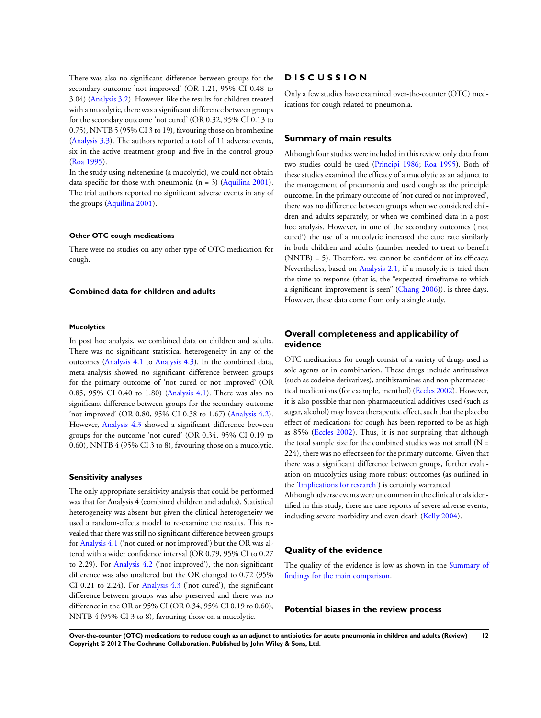There was also no significant difference between groups for the secondary outcome 'not improved' (OR 1.21, 95% CI 0.48 to 3.04) ([Analysis 3.2](#page-28-0)). However, like the results for children treated with a mucolytic, there was a significant difference between groups for the secondary outcome 'not cured' (OR 0.32, 95% CI 0.13 to 0.75), NNTB 5 (95% CI 3 to 19), favouring those on bromhexine [\(Analysis 3.3\)](#page-29-0). The authors reported a total of 11 adverse events, six in the active treatment group and five in the control group [\(Roa 1995](#page-14-0)).

In the study using neltenexine (a mucolytic), we could not obtain data specific for those with pneumonia  $(n = 3)$  ([Aquilina 2001](#page-14-0)). The trial authors reported no significant adverse events in any of the groups ([Aquilina 2001](#page-14-0)).

#### **Other OTC cough medications**

There were no studies on any other type of OTC medication for cough.

#### **Combined data for children and adults**

#### **Mucolytics**

In post hoc analysis, we combined data on children and adults. There was no significant statistical heterogeneity in any of the outcomes [\(Analysis 4.1](#page-30-0) to [Analysis 4.3\)](#page-30-0). In the combined data, meta-analysis showed no significant difference between groups for the primary outcome of 'not cured or not improved' (OR 0.85, 95% CI 0.40 to 1.80) ([Analysis 4.1](#page-30-0)). There was also no significant difference between groups for the secondary outcome 'not improved' (OR 0.80, 95% CI 0.38 to 1.67) ([Analysis 4.2](#page-30-0)). However, [Analysis 4.3](#page-30-0) showed a significant difference between groups for the outcome 'not cured' (OR 0.34, 95% CI 0.19 to 0.60), NNTB 4 (95% CI 3 to 8), favouring those on a mucolytic.

#### **Sensitivity analyses**

The only appropriate sensitivity analysis that could be performed was that for Analysis 4 (combined children and adults). Statistical heterogeneity was absent but given the clinical heterogeneity we used a random-effects model to re-examine the results. This revealed that there was still no significant difference between groups for [Analysis 4.1](#page-30-0) ('not cured or not improved') but the OR was altered with a wider confidence interval (OR 0.79, 95% CI to 0.27 to 2.29). For [Analysis 4.2](#page-30-0) ('not improved'), the non-significant difference was also unaltered but the OR changed to 0.72 (95% CI 0.21 to 2.24). For [Analysis 4.3](#page-30-0) ('not cured'), the significant difference between groups was also preserved and there was no difference in the OR or 95% CI (OR 0.34, 95% CI 0.19 to 0.60), NNTB 4 (95% CI 3 to 8), favouring those on a mucolytic.

#### **D I S C U S S I O N**

Only a few studies have examined over-the-counter (OTC) medications for cough related to pneumonia.

#### **Summary of main results**

Although four studies were included in this review, only data from two studies could be used ([Principi 1986;](#page-14-0) [Roa 1995](#page-14-0)). Both of these studies examined the efficacy of a mucolytic as an adjunct to the management of pneumonia and used cough as the principle outcome. In the primary outcome of 'not cured or not improved', there was no difference between groups when we considered children and adults separately, or when we combined data in a post hoc analysis. However, in one of the secondary outcomes ('not cured') the use of a mucolytic increased the cure rate similarly in both children and adults (number needed to treat to benefit (NNTB) = 5). Therefore, we cannot be confident of its efficacy. Nevertheless, based on [Analysis 2.1](#page-27-0), if a mucolytic is tried then the time to response (that is, the "expected timeframe to which a significant improvement is seen" [\(Chang 2006](#page-14-0))), is three days. However, these data come from only a single study.

#### **Overall completeness and applicability of evidence**

OTC medications for cough consist of a variety of drugs used as sole agents or in combination. These drugs include antitussives (such as codeine derivatives), antihistamines and non-pharmaceutical medications (for example, menthol) [\(Eccles 2002](#page-14-0)). However, it is also possible that non-pharmaceutical additives used (such as sugar, alcohol) may have a therapeutic effect, such that the placebo effect of medications for cough has been reported to be as high as 85% ([Eccles 2002](#page-14-0)). Thus, it is not surprising that although the total sample size for the combined studies was not small  $(N =$ 224), there was no effect seen for the primary outcome. Given that there was a significant difference between groups, further evaluation on mucolytics using more robust outcomes (as outlined in the 'Implications for research') is certainly warranted. Although adverse events were uncommon in the clinical trials iden-

tified in this study, there are case reports of severe adverse events, including severe morbidity and even death ([Kelly 2004\)](#page-14-0).

### **Quality of the evidence**

The quality of the evidence is low as shown in the [Summary of](#page-4-0) [findings for the main comparison](#page-4-0).

#### **Potential biases in the review process**

**Over-the-counter (OTC) medications to reduce cough as an adjunct to antibiotics for acute pneumonia in children and adults (Review) 12 Copyright © 2012 The Cochrane Collaboration. Published by John Wiley & Sons, Ltd.**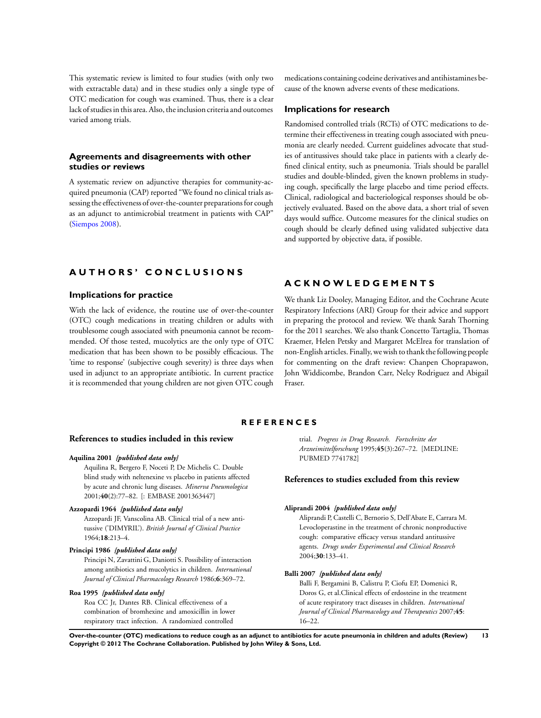<span id="page-14-0"></span>This systematic review is limited to four studies (with only two with extractable data) and in these studies only a single type of OTC medication for cough was examined. Thus, there is a clear lack of studies in this area. Also, the inclusion criteria and outcomes varied among trials.

## **Agreements and disagreements with other studies or reviews**

A systematic review on adjunctive therapies for community-acquired pneumonia (CAP) reported "We found no clinical trials assessing the effectiveness of over-the-counter preparations for cough as an adjunct to antimicrobial treatment in patients with CAP" (Siempos 2008).

## **A U T H O R S ' C O N C L U S I O N S**

#### **Implications for practice**

With the lack of evidence, the routine use of over-the-counter (OTC) cough medications in treating children or adults with troublesome cough associated with pneumonia cannot be recommended. Of those tested, mucolytics are the only type of OTC medication that has been shown to be possibly efficacious. The 'time to response' (subjective cough severity) is three days when used in adjunct to an appropriate antibiotic. In current practice it is recommended that young children are not given OTC cough

medications containing codeine derivatives and antihistamines because of the known adverse events of these medications.

#### **Implications for research**

Randomised controlled trials (RCTs) of OTC medications to determine their effectiveness in treating cough associated with pneumonia are clearly needed. Current guidelines advocate that studies of antitussives should take place in patients with a clearly defined clinical entity, such as pneumonia. Trials should be parallel studies and double-blinded, given the known problems in studying cough, specifically the large placebo and time period effects. Clinical, radiological and bacteriological responses should be objectively evaluated. Based on the above data, a short trial of seven days would suffice. Outcome measures for the clinical studies on cough should be clearly defined using validated subjective data and supported by objective data, if possible.

## **A C K N O W L E D G E M E N T S**

We thank Liz Dooley, Managing Editor, and the Cochrane Acute Respiratory Infections (ARI) Group for their advice and support in preparing the protocol and review. We thank Sarah Thorning for the 2011 searches. We also thank Concetto Tartaglia, Thomas Kraemer, Helen Petsky and Margaret McElrea for translation of non-English articles. Finally, we wish to thank the following people for commenting on the draft review: Chanpen Choprapawon, John Widdicombe, Brandon Carr, Nelcy Rodriguez and Abigail Fraser.

## **R E F E R E N C E S**

#### **References to studies included in this review**

#### **Aquilina 2001** *{published data only}*

Aquilina R, Bergero F, Noceti P, De Michelis C. Double blind study with neltenexine vs placebo in patients affected by acute and chronic lung diseases. *Minerva Pneumologica* 2001;**40**(2):77–82. [: EMBASE 2001363447]

#### **Azzopardi 1964** *{published data only}*

Azzopardi JF, Vanscolina AB. Clinical trial of a new antitussive ('DIMYRIL'). *British Journal of Clinical Practice* 1964;**18**:213–4.

#### **Principi 1986** *{published data only}*

Principi N, Zavattini G, Daniotti S. Possibility of interaction among antibiotics and mucolytics in children. *International Journal of Clinical Pharmacology Research* 1986;**6**:369–72.

#### **Roa 1995** *{published data only}*

Roa CC Jr, Dantes RB. Clinical effectiveness of a combination of bromhexine and amoxicillin in lower respiratory tract infection. A randomized controlled

trial. *Progress in Drug Research. Fortschritte der Arzneimittelforschung* 1995;**45**(3):267–72. [MEDLINE: PUBMED 7741782]

#### **References to studies excluded from this review**

#### **Aliprandi 2004** *{published data only}*

Aliprandi P, Castelli C, Bernorio S, Dell'Abate E, Carrara M. Levocloperastine in the treatment of chronic nonproductive cough: comparative efficacy versus standard antitussive agents. *Drugs under Experimental and Clinical Research* 2004;**30**:133–41.

#### **Balli 2007** *{published data only}*

Balli F, Bergamini B, Calistru P, Ciofu EP, Domenici R, Doros G, et al.Clinical effects of erdosteine in the treatment of acute respiratory tract diseases in children. *International Journal of Clinical Pharmacology and Therapeutics* 2007;**45**: 16–22.

**Over-the-counter (OTC) medications to reduce cough as an adjunct to antibiotics for acute pneumonia in children and adults (Review) 13 Copyright © 2012 The Cochrane Collaboration. Published by John Wiley & Sons, Ltd.**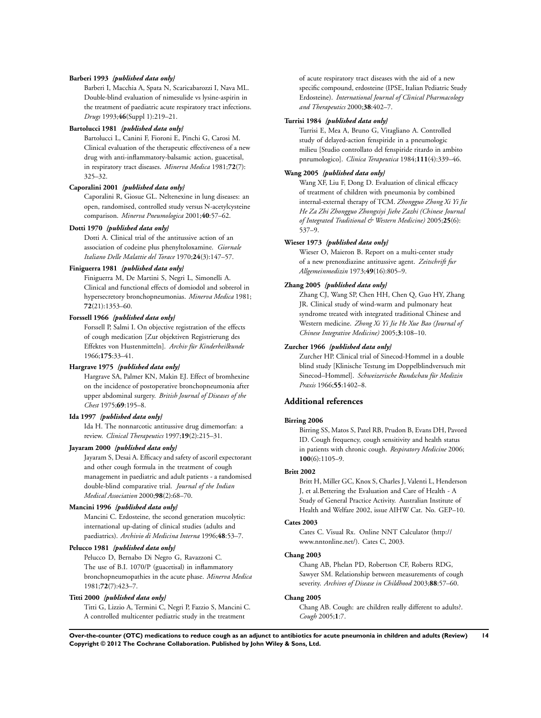#### **Barberi 1993** *{published data only}*

Barberi I, Macchia A, Spata N, Scaricabarozzi I, Nava ML. Double-blind evaluation of nimesulide vs lysine-aspirin in the treatment of paediatric acute respiratory tract infections. *Drugs* 1993;**46**(Suppl 1):219–21.

#### **Bartolucci 1981** *{published data only}*

Bartolucci L, Canini F, Fioroni E, Pinchi G, Carosi M. Clinical evaluation of the therapeutic effectiveness of a new drug with anti-inflammatory-balsamic action, guacetisal, in respiratory tract diseases. *Minerva Medica* 1981;**72**(7): 325–32.

#### **Caporalini 2001** *{published data only}*

Caporalini R, Giosue GL. Neltenexine in lung diseases: an open, randomised, controlled study versus N-acetylcysteine comparison. *Minerva Pneumologica* 2001;**40**:57–62.

#### **Dotti 1970** *{published data only}*

Dotti A. Clinical trial of the antitussive action of an association of codeine plus phenyltoloxamine. *Giornale Italiano Delle Malattie del Torace* 1970;**24**(3):147–57.

#### **Finiguerra 1981** *{published data only}*

Finiguerra M, De Martini S, Negri L, Simonelli A. Clinical and functional effects of domiodol and sobrerol in hypersecretory bronchopneumonias. *Minerva Medica* 1981; **72**(21):1353–60.

#### **Forssell 1966** *{published data only}*

Forssell P, Salmi I. On objective registration of the effects of cough medication [Zur objektiven Registrierung des Effektes von Hustenmitteln]. *Archiv für Kinderheilkunde* 1966;**175**:33–41.

#### **Hargrave 1975** *{published data only}*

Hargrave SA, Palmer KN, Makin EJ. Effect of bromhexine on the incidence of postoperative bronchopneumonia after upper abdominal surgery. *British Journal of Diseases of the Chest* 1975;**69**:195–8.

#### **Ida 1997** *{published data only}*

Ida H. The nonnarcotic antitussive drug dimemorfan: a review. *Clinical Therapeutics* 1997;**19**(2):215–31.

#### **Jayaram 2000** *{published data only}*

Jayaram S, Desai A. Efficacy and safety of ascoril expectorant and other cough formula in the treatment of cough management in paediatric and adult patients - a randomised double-blind comparative trial. *Journal of the Indian Medical Association* 2000;**98**(2):68–70.

#### **Mancini 1996** *{published data only}*

Mancini C. Erdosteine, the second generation mucolytic: international up-dating of clinical studies (adults and paediatrics). *Archivio di Medicina Interna* 1996;**48**:53–7.

#### **Pelucco 1981** *{published data only}*

Pelucco D, Bernabo Di Negro G, Ravazzoni C. The use of B.I. 1070/P (guacetisal) in inflammatory bronchopneumopathies in the acute phase. *Minerva Medica* 1981;**72**(7):423–7.

#### **Titti 2000** *{published data only}*

Titti G, Lizzio A, Termini C, Negri P, Fazzio S, Mancini C. A controlled multicenter pediatric study in the treatment

of acute respiratory tract diseases with the aid of a new specific compound, erdosteine (IPSE, Italian Pediatric Study Erdosteine). *International Journal of Clinical Pharmacology and Therapeutics* 2000;**38**:402–7.

#### **Turrisi 1984** *{published data only}*

Turrisi E, Mea A, Bruno G, Vitagliano A. Controlled study of delayed-action fenspiride in a pneumologic milieu [Studio controllato del fenspiride ritardo in ambito pnrumologico]. *Clinica Terapeutica* 1984;**111**(4):339–46.

#### **Wang 2005** *{published data only}*

Wang XF, Liu F, Dong D. Evaluation of clinical efficacy of treatment of children with pneumonia by combined internal-external therapy of TCM. *Zhongguo Zhong Xi Yi Jie He Za Zhi Zhongguo Zhongxiyi Jiehe Zazhi (Chinese Journal of Integrated Traditional & Western Medicine)* 2005;**25**(6): 537–9.

#### **Wieser 1973** *{published data only}*

Wieser O, Maieron B. Report on a multi-center study of a new prenoxdiazine antitussive agent. *Zeitschrift fur Allgemeinmedizin* 1973;**49**(16):805–9.

#### **Zhang 2005** *{published data only}*

Zhang CJ, Wang SP, Chen HH, Chen Q, Guo HY, Zhang JR. Clinical study of wind-warm and pulmonary heat syndrome treated with integrated traditional Chinese and Western medicine. *Zhong Xi Yi Jie He Xue Bao (Journal of Chinese Integrative Medicine)* 2005;**3**:108–10.

#### **Zurcher 1966** *{published data only}*

Zurcher HP. Clinical trial of Sinecod-Hommel in a double blind study [Klinische Testung im Doppelblindversuch mit Sinecod–Hommel]. *Schweizerische Rundschau für Medizin Praxis* 1966;**55**:1402–8.

#### **Additional references**

#### **Birring 2006**

Birring SS, Matos S, Patel RB, Prudon B, Evans DH, Pavord ID. Cough frequency, cough sensitivity and health status in patients with chronic cough. *Respiratory Medicine* 2006; **100**(6):1105–9.

#### **Britt 2002**

Britt H, Miller GC, Knox S, Charles J, Valenti L, Henderson J, et al.Bettering the Evaluation and Care of Health - A Study of General Practice Activity. Australian Institute of Health and Welfare 2002, issue AIHW Cat. No. GEP–10.

#### **Cates 2003**

Cates C. Visual Rx. Online NNT Calculator (http:// www.nntonline.net/). Cates C, 2003.

#### **Chang 2003**

Chang AB, Phelan PD, Robertson CF, Roberts RDG, Sawyer SM. Relationship between measurements of cough severity. *Archives of Disease in Childhood* 2003;**88**:57–60.

## **Chang 2005**

Chang AB. Cough: are children really different to adults?. *Cough* 2005;**1**:7.

**Over-the-counter (OTC) medications to reduce cough as an adjunct to antibiotics for acute pneumonia in children and adults (Review) 14 Copyright © 2012 The Cochrane Collaboration. Published by John Wiley & Sons, Ltd.**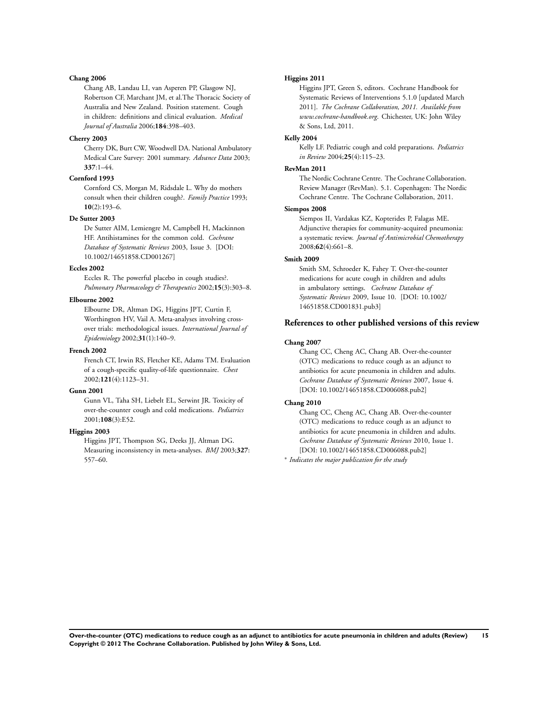#### **Chang 2006**

Chang AB, Landau LI, van Asperen PP, Glasgow NJ, Robertson CF, Marchant JM, et al.The Thoracic Society of Australia and New Zealand. Position statement. Cough in children: definitions and clinical evaluation. *Medical Journal of Australia* 2006;**184**:398–403.

#### **Cherry 2003**

Cherry DK, Burt CW, Woodwell DA. National Ambulatory Medical Care Survey: 2001 summary. *Advance Data* 2003; **337**:1–44.

#### **Cornford 1993**

Cornford CS, Morgan M, Ridsdale L. Why do mothers consult when their children cough?. *Family Practice* 1993; **10**(2):193–6.

#### **De Sutter 2003**

De Sutter AIM, Lemiengre M, Campbell H, Mackinnon HF. Antihistamines for the common cold. *Cochrane Database of Systematic Reviews* 2003, Issue 3. [DOI: 10.1002/14651858.CD001267]

#### **Eccles 2002**

Eccles R. The powerful placebo in cough studies?. *Pulmonary Pharmacology & Therapeutics* 2002;**15**(3):303–8.

#### **Elbourne 2002**

Elbourne DR, Altman DG, Higgins JPT, Curtin F, Worthington HV, Vail A. Meta-analyses involving crossover trials: methodological issues. *International Journal of Epidemiology* 2002;**31**(1):140–9.

#### **French 2002**

French CT, Irwin RS, Fletcher KE, Adams TM. Evaluation of a cough-specific quality-of-life questionnaire. *Chest* 2002;**121**(4):1123–31.

#### **Gunn 2001**

Gunn VL, Taha SH, Liebelt EL, Serwint JR. Toxicity of over-the-counter cough and cold medications. *Pediatrics* 2001;**108**(3):E52.

## **Higgins 2003**

Higgins JPT, Thompson SG, Deeks JJ, Altman DG. Measuring inconsistency in meta-analyses. *BMJ* 2003;**327**: 557–60.

#### **Higgins 2011**

Higgins JPT, Green S, editors. Cochrane Handbook for Systematic Reviews of Interventions 5.1.0 [updated March 2011]. *The Cochrane Collaboration, 2011. Available from www.cochrane-handbook.org*. Chichester, UK: John Wiley & Sons, Ltd, 2011.

#### **Kelly 2004**

Kelly LF. Pediatric cough and cold preparations. *Pediatrics in Review* 2004;**25**(4):115–23.

#### **RevMan 2011**

The Nordic Cochrane Centre. The Cochrane Collaboration. Review Manager (RevMan). 5.1. Copenhagen: The Nordic Cochrane Centre. The Cochrane Collaboration, 2011.

#### **Siempos 2008**

Siempos II, Vardakas KZ, Kopterides P, Falagas ME. Adjunctive therapies for community-acquired pneumonia: a systematic review. *Journal of Antimicrobial Chemotherapy* 2008;**62**(4):661–8.

#### **Smith 2009**

Smith SM, Schroeder K, Fahey T. Over-the-counter medications for acute cough in children and adults in ambulatory settings. *Cochrane Database of Systematic Reviews* 2009, Issue 10. [DOI: 10.1002/ 14651858.CD001831.pub3]

#### **References to other published versions of this review**

#### **Chang 2007**

Chang CC, Cheng AC, Chang AB. Over-the-counter (OTC) medications to reduce cough as an adjunct to antibiotics for acute pneumonia in children and adults. *Cochrane Database of Systematic Reviews* 2007, Issue 4. [DOI: 10.1002/14651858.CD006088.pub2]

#### **Chang 2010**

Chang CC, Cheng AC, Chang AB. Over-the-counter (OTC) medications to reduce cough as an adjunct to antibiotics for acute pneumonia in children and adults. *Cochrane Database of Systematic Reviews* 2010, Issue 1. [DOI: 10.1002/14651858.CD006088.pub2]

∗ *Indicates the major publication for the study*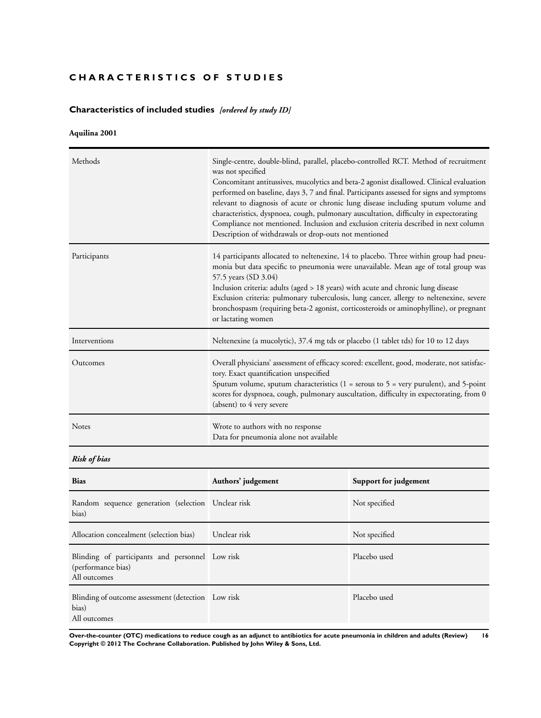## <span id="page-17-0"></span>**CHARACTERISTICS OF STUDIES**

## **Characteristics of included studies** *[ordered by study ID]*

## **Aquilina 2001**

| Methods       | Single-centre, double-blind, parallel, placebo-controlled RCT. Method of recruitment<br>was not specified<br>Concomitant antitussives, mucolytics and beta-2 agonist disallowed. Clinical evaluation<br>performed on baseline, days 3, 7 and final. Participants assessed for signs and symptoms<br>relevant to diagnosis of acute or chronic lung disease including sputum volume and<br>characteristics, dyspnoea, cough, pulmonary auscultation, difficulty in expectorating<br>Compliance not mentioned. Inclusion and exclusion criteria described in next column<br>Description of withdrawals or drop-outs not mentioned |
|---------------|---------------------------------------------------------------------------------------------------------------------------------------------------------------------------------------------------------------------------------------------------------------------------------------------------------------------------------------------------------------------------------------------------------------------------------------------------------------------------------------------------------------------------------------------------------------------------------------------------------------------------------|
| Participants  | 14 participants allocated to neltenexine, 14 to placebo. Three within group had pneu-<br>monia but data specific to pneumonia were unavailable. Mean age of total group was<br>57.5 years (SD 3.04)<br>Inclusion criteria: adults (aged > 18 years) with acute and chronic lung disease<br>Exclusion criteria: pulmonary tuberculosis, lung cancer, allergy to neltenexine, severe<br>bronchospasm (requiring beta-2 agonist, corticosteroids or aminophylline), or pregnant<br>or lactating women                                                                                                                              |
| Interventions | Neltenexine (a mucolytic), 37.4 mg tds or placebo (1 tablet tds) for 10 to 12 days                                                                                                                                                                                                                                                                                                                                                                                                                                                                                                                                              |
| Outcomes      | Overall physicians' assessment of efficacy scored: excellent, good, moderate, not satisfac-<br>tory. Exact quantification unspecified<br>Sputum volume, sputum characteristics ( $1 =$ serous to $5 =$ very purulent), and $5$ -point<br>scores for dyspnoea, cough, pulmonary auscultation, difficulty in expectorating, from 0<br>(absent) to 4 very severe                                                                                                                                                                                                                                                                   |
| Notes         | Wrote to authors with no response<br>Data for pneumonia alone not available                                                                                                                                                                                                                                                                                                                                                                                                                                                                                                                                                     |

## *Risk of bias*

| <b>Bias</b>                                                                           | Authors' judgement | Support for judgement |
|---------------------------------------------------------------------------------------|--------------------|-----------------------|
| Random sequence generation (selection Unclear risk<br>bias)                           |                    | Not specified         |
| Allocation concealment (selection bias)                                               | Unclear risk       | Not specified         |
| Blinding of participants and personnel Low risk<br>(performance bias)<br>All outcomes |                    | Placebo used          |
| Blinding of outcome assessment (detection Low risk<br>bias)<br>All outcomes           |                    | Placebo used          |

**Over-the-counter (OTC) medications to reduce cough as an adjunct to antibiotics for acute pneumonia in children and adults (Review) 16 Copyright © 2012 The Cochrane Collaboration. Published by John Wiley & Sons, Ltd.**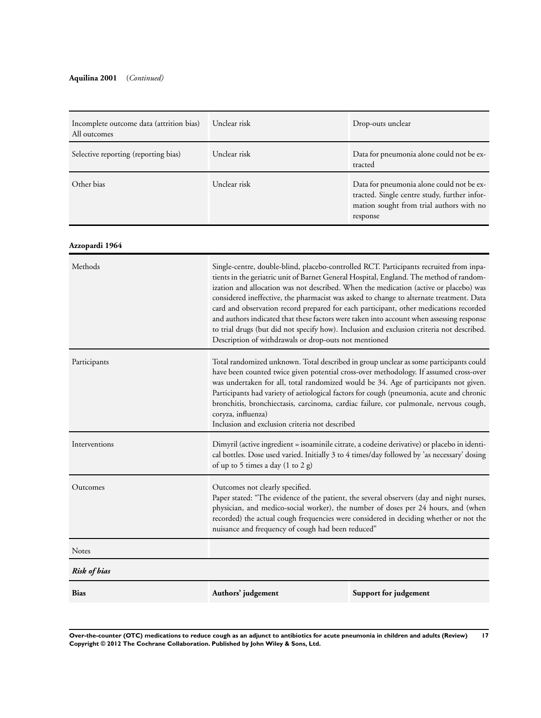| Incomplete outcome data (attrition bias)<br>All outcomes | Unclear risk | Drop-outs unclear                                                                                                                                 |
|----------------------------------------------------------|--------------|---------------------------------------------------------------------------------------------------------------------------------------------------|
| Selective reporting (reporting bias)                     | Unclear risk | Data for pneumonia alone could not be ex-<br>tracted                                                                                              |
| Other bias                                               | Unclear risk | Data for pneumonia alone could not be ex-<br>tracted. Single centre study, further infor-<br>mation sought from trial authors with no<br>response |

## **Azzopardi 1964**

| Methods             | Single-centre, double-blind, placebo-controlled RCT. Participants recruited from inpa-<br>tients in the geriatric unit of Barnet General Hospital, England. The method of random-<br>ization and allocation was not described. When the medication (active or placebo) was<br>considered ineffective, the pharmacist was asked to change to alternate treatment. Data<br>card and observation record prepared for each participant, other medications recorded<br>and authors indicated that these factors were taken into account when assessing response<br>to trial drugs (but did not specify how). Inclusion and exclusion criteria not described.<br>Description of withdrawals or drop-outs not mentioned |                       |  |
|---------------------|------------------------------------------------------------------------------------------------------------------------------------------------------------------------------------------------------------------------------------------------------------------------------------------------------------------------------------------------------------------------------------------------------------------------------------------------------------------------------------------------------------------------------------------------------------------------------------------------------------------------------------------------------------------------------------------------------------------|-----------------------|--|
| Participants        | Total randomized unknown. Total described in group unclear as some participants could<br>have been counted twice given potential cross-over methodology. If assumed cross-over<br>was undertaken for all, total randomized would be 34. Age of participants not given.<br>Participants had variety of aetiological factors for cough (pneumonia, acute and chronic<br>bronchitis, bronchiectasis, carcinoma, cardiac failure, cor pulmonale, nervous cough,<br>coryza, influenza)<br>Inclusion and exclusion criteria not described                                                                                                                                                                              |                       |  |
| Interventions       | Dimyril (active ingredient = isoaminile citrate, a codeine derivative) or placebo in identi-<br>cal bottles. Dose used varied. Initially 3 to 4 times/day followed by 'as necessary' dosing<br>of up to 5 times a day (1 to 2 g)                                                                                                                                                                                                                                                                                                                                                                                                                                                                                 |                       |  |
| Outcomes            | Outcomes not clearly specified.<br>Paper stated: "The evidence of the patient, the several observers (day and night nurses,<br>physician, and medico-social worker), the number of doses per 24 hours, and (when<br>recorded) the actual cough frequencies were considered in deciding whether or not the<br>nuisance and frequency of cough had been reduced"                                                                                                                                                                                                                                                                                                                                                   |                       |  |
| <b>Notes</b>        |                                                                                                                                                                                                                                                                                                                                                                                                                                                                                                                                                                                                                                                                                                                  |                       |  |
| <b>Risk of bias</b> |                                                                                                                                                                                                                                                                                                                                                                                                                                                                                                                                                                                                                                                                                                                  |                       |  |
| <b>Bias</b>         | Authors' judgement                                                                                                                                                                                                                                                                                                                                                                                                                                                                                                                                                                                                                                                                                               | Support for judgement |  |
|                     |                                                                                                                                                                                                                                                                                                                                                                                                                                                                                                                                                                                                                                                                                                                  |                       |  |

**Over-the-counter (OTC) medications to reduce cough as an adjunct to antibiotics for acute pneumonia in children and adults (Review) 17 Copyright © 2012 The Cochrane Collaboration. Published by John Wiley & Sons, Ltd.**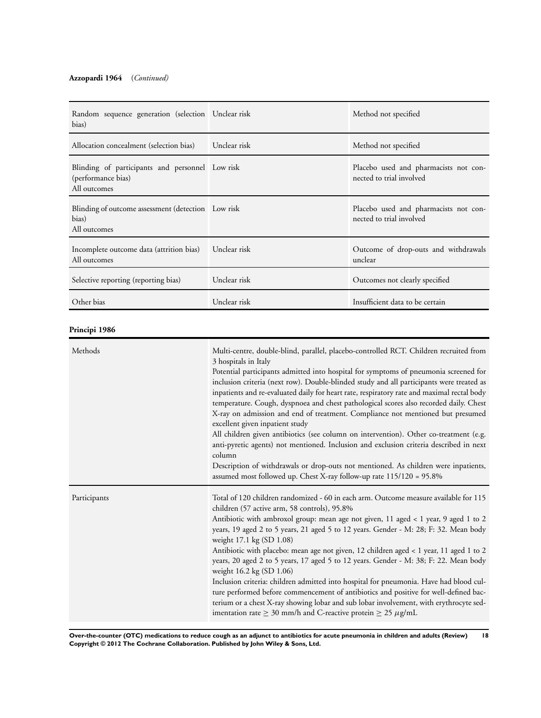## **Azzopardi 1964** (*Continued)*

| Random sequence generation (selection Unclear risk<br>bias)                           |              | Method not specified                                              |
|---------------------------------------------------------------------------------------|--------------|-------------------------------------------------------------------|
| Allocation concealment (selection bias)                                               | Unclear risk | Method not specified                                              |
| Blinding of participants and personnel Low risk<br>(performance bias)<br>All outcomes |              | Placebo used and pharmacists not con-<br>nected to trial involved |
| Blinding of outcome assessment (detection Low risk<br>bias)<br>All outcomes           |              | Placebo used and pharmacists not con-<br>nected to trial involved |
| Incomplete outcome data (attrition bias) Unclear risk<br>All outcomes                 |              | Outcome of drop-outs and withdrawals<br>unclear                   |
| Selective reporting (reporting bias)                                                  | Unclear risk | Outcomes not clearly specified                                    |
| Other bias                                                                            | Unclear risk | Insufficient data to be certain                                   |

## **Principi 1986**

| Methods      | Multi-centre, double-blind, parallel, placebo-controlled RCT. Children recruited from<br>3 hospitals in Italy<br>Potential participants admitted into hospital for symptoms of pneumonia screened for<br>inclusion criteria (next row). Double-blinded study and all participants were treated as<br>inpatients and re-evaluated daily for heart rate, respiratory rate and maximal rectal body<br>temperature. Cough, dyspnoea and chest pathological scores also recorded daily. Chest<br>X-ray on admission and end of treatment. Compliance not mentioned but presumed<br>excellent given inpatient study<br>All children given antibiotics (see column on intervention). Other co-treatment (e.g.<br>anti-pyretic agents) not mentioned. Inclusion and exclusion criteria described in next<br>column<br>Description of withdrawals or drop-outs not mentioned. As children were inpatients,<br>assumed most followed up. Chest X-ray follow-up rate 115/120 = 95.8% |
|--------------|---------------------------------------------------------------------------------------------------------------------------------------------------------------------------------------------------------------------------------------------------------------------------------------------------------------------------------------------------------------------------------------------------------------------------------------------------------------------------------------------------------------------------------------------------------------------------------------------------------------------------------------------------------------------------------------------------------------------------------------------------------------------------------------------------------------------------------------------------------------------------------------------------------------------------------------------------------------------------|
| Participants | Total of 120 children randomized - 60 in each arm. Outcome measure available for 115<br>children (57 active arm, 58 controls), 95.8%<br>Antibiotic with ambroxol group: mean age not given, 11 aged < 1 year, 9 aged 1 to 2<br>years, 19 aged 2 to 5 years, 21 aged 5 to 12 years. Gender - M: 28; F: 32. Mean body<br>weight 17.1 kg (SD 1.08)<br>Antibiotic with placebo: mean age not given, 12 children aged < 1 year, 11 aged 1 to 2<br>years, 20 aged 2 to 5 years, 17 aged 5 to 12 years. Gender - M: 38; F: 22. Mean body<br>weight 16.2 kg (SD 1.06)<br>Inclusion criteria: children admitted into hospital for pneumonia. Have had blood cul-<br>ture performed before commencement of antibiotics and positive for well-defined bac-<br>terium or a chest X-ray showing lobar and sub lobar involvement, with erythrocyte sed-<br>imentation rate $\geq 30$ mm/h and C-reactive protein $\geq 25 \ \mu g/mL$                                                   |

**Over-the-counter (OTC) medications to reduce cough as an adjunct to antibiotics for acute pneumonia in children and adults (Review) 18 Copyright © 2012 The Cochrane Collaboration. Published by John Wiley & Sons, Ltd.**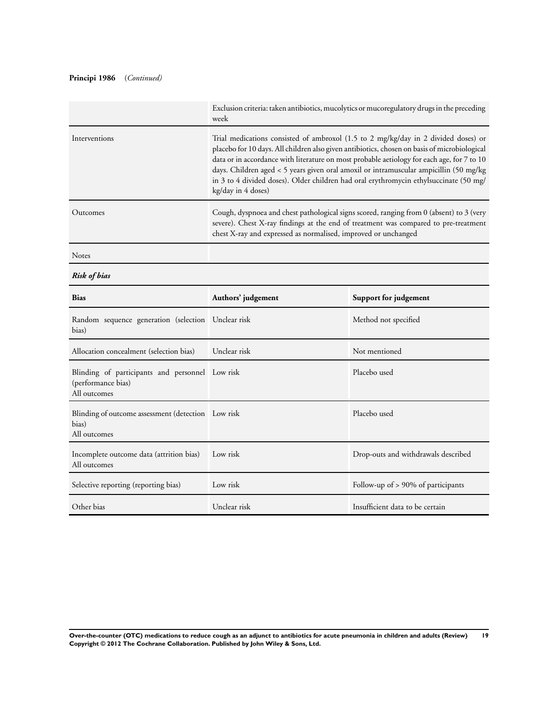## **Principi 1986** (*Continued)*

|                                                    | Exclusion criteria: taken antibiotics, mucolytics or mucoregulatory drugs in the preceding<br>week                                                                                                                                                                                                                                                                                                                                                                                       |                       |  |  |
|----------------------------------------------------|------------------------------------------------------------------------------------------------------------------------------------------------------------------------------------------------------------------------------------------------------------------------------------------------------------------------------------------------------------------------------------------------------------------------------------------------------------------------------------------|-----------------------|--|--|
| Interventions                                      | Trial medications consisted of ambroxol (1.5 to 2 mg/kg/day in 2 divided doses) or<br>placebo for 10 days. All children also given antibiotics, chosen on basis of microbiological<br>data or in accordance with literature on most probable aetiology for each age, for 7 to 10<br>days. Children aged < 5 years given oral amoxil or intramuscular ampicillin (50 mg/kg<br>in 3 to 4 divided doses). Older children had oral erythromycin ethylsuccinate (50 mg/<br>kg/day in 4 doses) |                       |  |  |
| Outcomes                                           | Cough, dyspnoea and chest pathological signs scored, ranging from 0 (absent) to 3 (very<br>severe). Chest X-ray findings at the end of treatment was compared to pre-treatment<br>chest X-ray and expressed as normalised, improved or unchanged                                                                                                                                                                                                                                         |                       |  |  |
| <b>Notes</b>                                       |                                                                                                                                                                                                                                                                                                                                                                                                                                                                                          |                       |  |  |
| <b>Risk of bias</b>                                |                                                                                                                                                                                                                                                                                                                                                                                                                                                                                          |                       |  |  |
| <b>Bias</b>                                        | Authors' judgement                                                                                                                                                                                                                                                                                                                                                                                                                                                                       | Support for judgement |  |  |
| Random sequence generation (selection Unclear risk |                                                                                                                                                                                                                                                                                                                                                                                                                                                                                          | Method not specified  |  |  |

| Random sequence generation (selection Unclear risk<br>bias)                           |              | Method not specified                  |
|---------------------------------------------------------------------------------------|--------------|---------------------------------------|
| Allocation concealment (selection bias)                                               | Unclear risk | Not mentioned                         |
| Blinding of participants and personnel Low risk<br>(performance bias)<br>All outcomes |              | Placebo used                          |
| Blinding of outcome assessment (detection Low risk<br>bias)<br>All outcomes           |              | Placebo used                          |
| Incomplete outcome data (attrition bias)<br>All outcomes                              | Low risk     | Drop-outs and withdrawals described   |
| Selective reporting (reporting bias)                                                  | Low risk     | Follow-up of $> 90\%$ of participants |
| Other bias                                                                            | Unclear risk | Insufficient data to be certain       |

**Over-the-counter (OTC) medications to reduce cough as an adjunct to antibiotics for acute pneumonia in children and adults (Review) 19 Copyright © 2012 The Cochrane Collaboration. Published by John Wiley & Sons, Ltd.**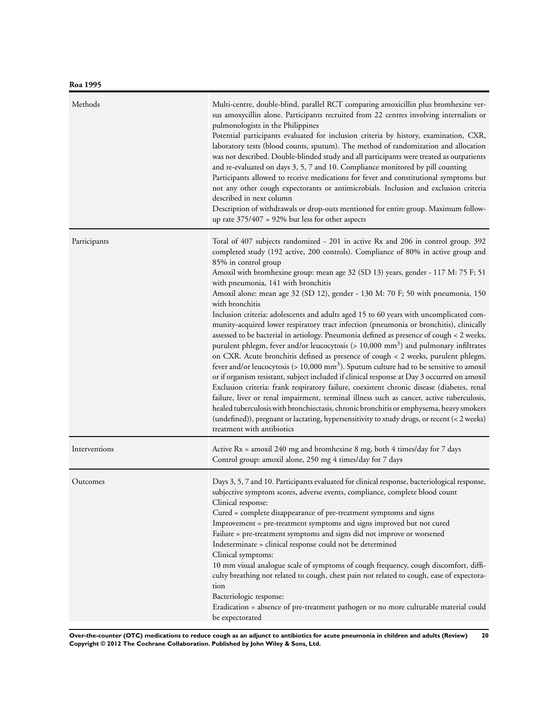| Methods       | Multi-centre, double-blind, parallel RCT comparing amoxicillin plus bromhexine ver-<br>sus amoxycillin alone. Participants recruited from 22 centres involving internalists or<br>pulmonologists in the Philippines<br>Potential participants evaluated for inclusion criteria by history, examination, CXR,<br>laboratory tests (blood counts, sputum). The method of randomization and allocation<br>was not described. Double-blinded study and all participants were treated as outpatients<br>and re-evaluated on days 3, 5, 7 and 10. Compliance monitored by pill counting<br>Participants allowed to receive medications for fever and constitutional symptoms but<br>not any other cough expectorants or antimicrobials. Inclusion and exclusion criteria<br>described in next column<br>Description of withdrawals or drop-outs mentioned for entire group. Maximum follow-<br>up rate $375/407 = 92\%$ but less for other aspects                                                                                                                                                                                                                                                                                                                                                                                                                                                                                                                                                                                              |
|---------------|-------------------------------------------------------------------------------------------------------------------------------------------------------------------------------------------------------------------------------------------------------------------------------------------------------------------------------------------------------------------------------------------------------------------------------------------------------------------------------------------------------------------------------------------------------------------------------------------------------------------------------------------------------------------------------------------------------------------------------------------------------------------------------------------------------------------------------------------------------------------------------------------------------------------------------------------------------------------------------------------------------------------------------------------------------------------------------------------------------------------------------------------------------------------------------------------------------------------------------------------------------------------------------------------------------------------------------------------------------------------------------------------------------------------------------------------------------------------------------------------------------------------------------------------|
| Participants  | Total of 407 subjects randomized - 201 in active Rx and 206 in control group. 392<br>completed study (192 active, 200 controls). Compliance of 80% in active group and<br>85% in control group<br>Amoxil with bromhexine group: mean age 32 (SD 13) years, gender - 117 M: 75 F; 51<br>with pneumonia, 141 with bronchitis<br>Amoxil alone: mean age 32 (SD 12), gender - 130 M: 70 F; 50 with pneumonia, 150<br>with bronchitis<br>Inclusion criteria: adolescents and adults aged 15 to 60 years with uncomplicated com-<br>munity-acquired lower respiratory tract infection (pneumonia or bronchitis), clinically<br>assessed to be bacterial in aetiology. Pneumonia defined as presence of cough < 2 weeks,<br>purulent phlegm, fever and/or leucocytosis ( $> 10,000$ mm <sup>3</sup> ) and pulmonary infiltrates<br>on CXR. Acute bronchitis defined as presence of cough < 2 weeks, purulent phlegm,<br>fever and/or leucocytosis ( $> 10,000$ mm <sup>3</sup> ). Sputum culture had to be sensitive to amoxil<br>or if organism resistant, subject included if clinical response at Day 3 occurred on amoxil<br>Exclusion criteria: frank respiratory failure, coexistent chronic disease (diabetes, renal<br>failure, liver or renal impairment, terminal illness such as cancer, active tuberculosis,<br>healed tuberculosis with bronchiectasis, chronic bronchitis or emphysema, heavy smokers<br>(undefined)), pregnant or lactating, hypersensitivity to study drugs, or recent (< 2 weeks)<br>treatment with antibiotics |
| Interventions | Active Rx = amoxil 240 mg and bromhexine 8 mg, both 4 times/day for 7 days<br>Control group: amoxil alone, 250 mg 4 times/day for 7 days                                                                                                                                                                                                                                                                                                                                                                                                                                                                                                                                                                                                                                                                                                                                                                                                                                                                                                                                                                                                                                                                                                                                                                                                                                                                                                                                                                                                  |
| Outcomes      | Days 3, 5, 7 and 10. Participants evaluated for clinical response, bacteriological response,<br>subjective symptom scores, adverse events, compliance, complete blood count<br>Clinical response:<br>Cured = complete disappearance of pre-treatment symptoms and signs<br>Improvement = pre-treatment symptoms and signs improved but not cured<br>Failure = pre-treatment symptoms and signs did not improve or worsened<br>Indeterminate = clinical response could not be determined<br>Clinical symptoms:<br>10 mm visual analogue scale of symptoms of cough frequency, cough discomfort, diffi-<br>culty breathing not related to cough, chest pain not related to cough, ease of expectora-<br>tion<br>Bacteriologic response:<br>Eradication = absence of pre-treatment pathogen or no more culturable material could<br>be expectorated                                                                                                                                                                                                                                                                                                                                                                                                                                                                                                                                                                                                                                                                                          |

**Over-the-counter (OTC) medications to reduce cough as an adjunct to antibiotics for acute pneumonia in children and adults (Review) 20 Copyright © 2012 The Cochrane Collaboration. Published by John Wiley & Sons, Ltd.**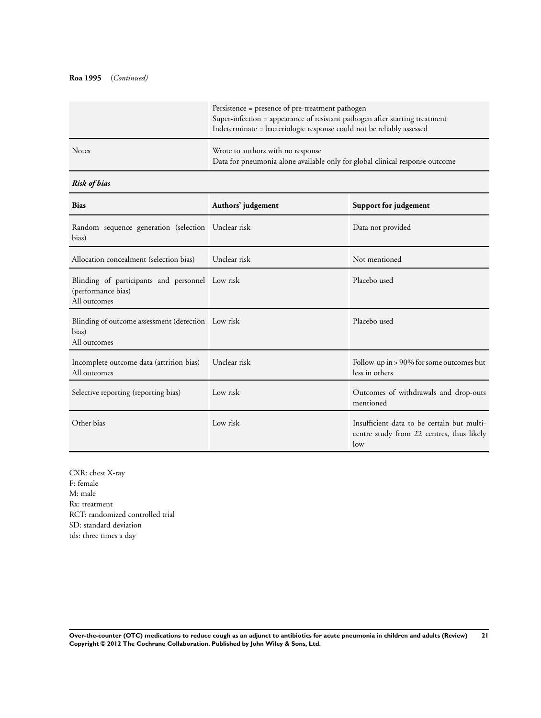## **Roa 1995** (*Continued)*

|              | Persistence = presence of pre-treatment pathogen<br>Super-infection = appearance of resistant pathogen after starting treatment<br>Indeterminate = bacteriologic response could not be reliably assessed |
|--------------|----------------------------------------------------------------------------------------------------------------------------------------------------------------------------------------------------------|
| <b>Notes</b> | Wrote to authors with no response<br>Data for pneumonia alone available only for global clinical response outcome                                                                                        |

## *Risk of bias*

| <b>Bias</b>                                                                           | Authors' judgement | Support for judgement                                                                          |
|---------------------------------------------------------------------------------------|--------------------|------------------------------------------------------------------------------------------------|
| Random sequence generation (selection Unclear risk<br>bias)                           |                    | Data not provided                                                                              |
| Allocation concealment (selection bias)                                               | Unclear risk       | Not mentioned                                                                                  |
| Blinding of participants and personnel Low risk<br>(performance bias)<br>All outcomes |                    | Placebo used                                                                                   |
| Blinding of outcome assessment (detection Low risk<br>bias)<br>All outcomes           |                    | Placebo used                                                                                   |
| Incomplete outcome data (attrition bias)<br>All outcomes                              | Unclear risk       | Follow-up in > 90% for some outcomes but<br>less in others                                     |
| Selective reporting (reporting bias)                                                  | Low risk           | Outcomes of withdrawals and drop-outs<br>mentioned                                             |
| Other bias                                                                            | Low risk           | Insufficient data to be certain but multi-<br>centre study from 22 centres, thus likely<br>low |

CXR: chest X-ray F: female M: male Rx: treatment RCT: randomized controlled trial SD: standard deviation tds: three times a day

**Over-the-counter (OTC) medications to reduce cough as an adjunct to antibiotics for acute pneumonia in children and adults (Review) 21 Copyright © 2012 The Cochrane Collaboration. Published by John Wiley & Sons, Ltd.**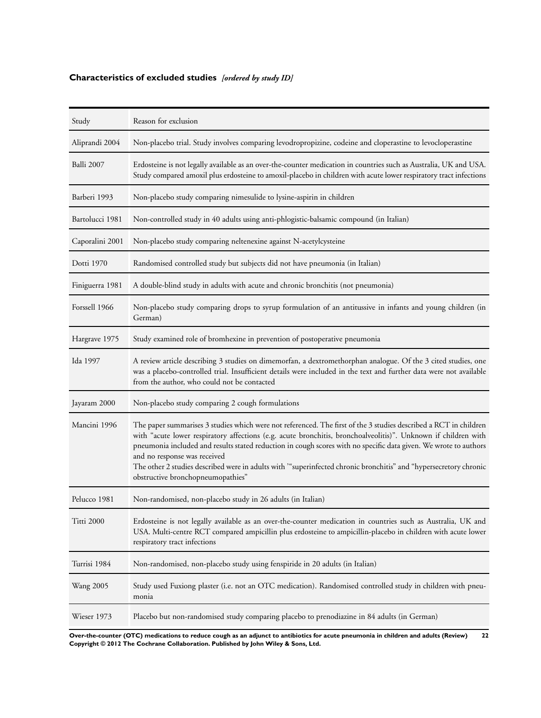## <span id="page-23-0"></span>**Characteristics of excluded studies** *[ordered by study ID]*

| Study            | Reason for exclusion                                                                                                                                                                                                                                                                                                                                                                                                                                                                                                                            |
|------------------|-------------------------------------------------------------------------------------------------------------------------------------------------------------------------------------------------------------------------------------------------------------------------------------------------------------------------------------------------------------------------------------------------------------------------------------------------------------------------------------------------------------------------------------------------|
| Aliprandi 2004   | Non-placebo trial. Study involves comparing levodropropizine, codeine and cloperastine to levocloperastine                                                                                                                                                                                                                                                                                                                                                                                                                                      |
| Balli 2007       | Erdosteine is not legally available as an over-the-counter medication in countries such as Australia, UK and USA.<br>Study compared amoxil plus erdosteine to amoxil-placebo in children with acute lower respiratory tract infections                                                                                                                                                                                                                                                                                                          |
| Barberi 1993     | Non-placebo study comparing nimesulide to lysine-aspirin in children                                                                                                                                                                                                                                                                                                                                                                                                                                                                            |
| Bartolucci 1981  | Non-controlled study in 40 adults using anti-phlogistic-balsamic compound (in Italian)                                                                                                                                                                                                                                                                                                                                                                                                                                                          |
| Caporalini 2001  | Non-placebo study comparing neltenexine against N-acetylcysteine                                                                                                                                                                                                                                                                                                                                                                                                                                                                                |
| Dotti 1970       | Randomised controlled study but subjects did not have pneumonia (in Italian)                                                                                                                                                                                                                                                                                                                                                                                                                                                                    |
| Finiguerra 1981  | A double-blind study in adults with acute and chronic bronchitis (not pneumonia)                                                                                                                                                                                                                                                                                                                                                                                                                                                                |
| Forssell 1966    | Non-placebo study comparing drops to syrup formulation of an antitussive in infants and young children (in<br>German)                                                                                                                                                                                                                                                                                                                                                                                                                           |
| Hargrave 1975    | Study examined role of bromhexine in prevention of postoperative pneumonia                                                                                                                                                                                                                                                                                                                                                                                                                                                                      |
| Ida 1997         | A review article describing 3 studies on dimemorfan, a dextromethorphan analogue. Of the 3 cited studies, one<br>was a placebo-controlled trial. Insufficient details were included in the text and further data were not available<br>from the author, who could not be contacted                                                                                                                                                                                                                                                              |
| Jayaram 2000     | Non-placebo study comparing 2 cough formulations                                                                                                                                                                                                                                                                                                                                                                                                                                                                                                |
| Mancini 1996     | The paper summarises 3 studies which were not referenced. The first of the 3 studies described a RCT in children<br>with "acute lower respiratory affections (e.g. acute bronchitis, bronchoalveolitis)". Unknown if children with<br>pneumonia included and results stated reduction in cough scores with no specific data given. We wrote to authors<br>and no response was received<br>The other 2 studies described were in adults with "superinfected chronic bronchitis" and "hypersecretory chronic<br>obstructive bronchopneumopathies" |
| Pelucco 1981     | Non-randomised, non-placebo study in 26 adults (in Italian)                                                                                                                                                                                                                                                                                                                                                                                                                                                                                     |
| Titti 2000       | Erdosteine is not legally available as an over-the-counter medication in countries such as Australia, UK and<br>USA. Multi-centre RCT compared ampicillin plus erdosteine to ampicillin-placebo in children with acute lower<br>respiratory tract infections                                                                                                                                                                                                                                                                                    |
| Turrisi 1984     | Non-randomised, non-placebo study using fenspiride in 20 adults (in Italian)                                                                                                                                                                                                                                                                                                                                                                                                                                                                    |
| <b>Wang 2005</b> | Study used Fuxiong plaster (i.e. not an OTC medication). Randomised controlled study in children with pneu-<br>monia                                                                                                                                                                                                                                                                                                                                                                                                                            |
| Wieser 1973      | Placebo but non-randomised study comparing placebo to prenodiazine in 84 adults (in German)                                                                                                                                                                                                                                                                                                                                                                                                                                                     |

**Over-the-counter (OTC) medications to reduce cough as an adjunct to antibiotics for acute pneumonia in children and adults (Review) 22 Copyright © 2012 The Cochrane Collaboration. Published by John Wiley & Sons, Ltd.**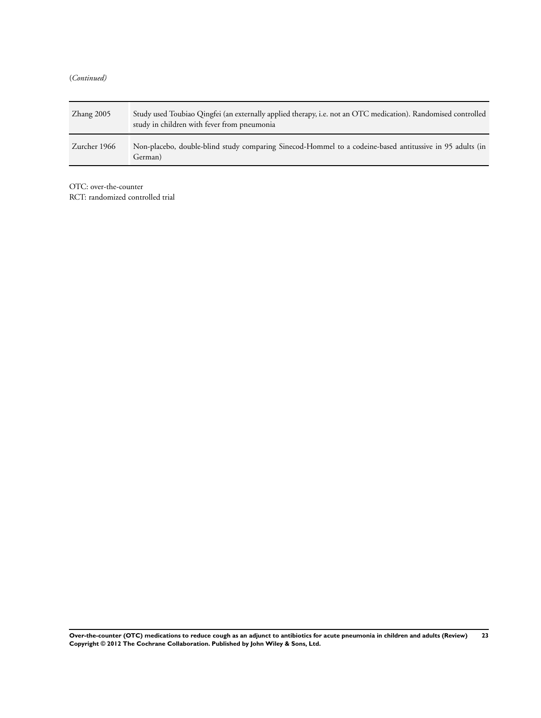(*Continued)*

| $\chi$ hang 2005 | Study used Toubiao Qingfei (an externally applied therapy, i.e. not an OTC medication). Randomised controlled<br>study in children with fever from pneumonia |
|------------------|--------------------------------------------------------------------------------------------------------------------------------------------------------------|
| Zurcher 1966     | Non-placebo, double-blind study comparing Sinecod-Hommel to a codeine-based antitussive in 95 adults (in<br>German)                                          |

OTC: over-the-counter

RCT: randomized controlled trial

**Over-the-counter (OTC) medications to reduce cough as an adjunct to antibiotics for acute pneumonia in children and adults (Review) 23 Copyright © 2012 The Cochrane Collaboration. Published by John Wiley & Sons, Ltd.**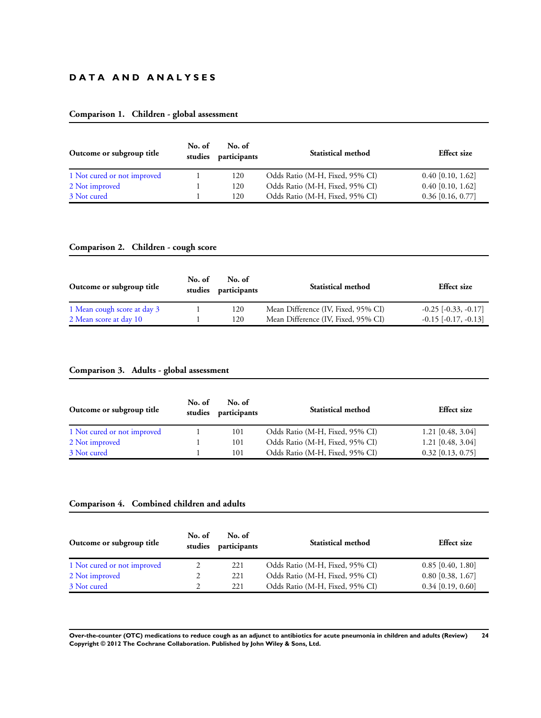## **D A T A A N D A N A L Y S E S**

## **Comparison 1. Children - global assessment**

| Outcome or subgroup title   | No. of<br>studies | No. of<br>participants | <b>Statistical method</b>       | <b>Effect</b> size  |
|-----------------------------|-------------------|------------------------|---------------------------------|---------------------|
| 1 Not cured or not improved |                   | 120                    | Odds Ratio (M-H, Fixed, 95% CI) | $0.40$ [0.10, 1.62] |
| 2 Not improved              |                   | 120                    | Odds Ratio (M-H, Fixed, 95% CI) | $0.40$ [0.10, 1.62] |
| 3 Not cured                 |                   | 120                    | Odds Ratio (M-H, Fixed, 95% CI) | $0.36$ [0.16, 0.77] |

## **Comparison 2. Children - cough score**

| Outcome or subgroup title   | No. of<br>No. of<br>studies participants |     | <b>Statistical method</b>           | <b>Effect</b> size       |
|-----------------------------|------------------------------------------|-----|-------------------------------------|--------------------------|
| 1 Mean cough score at day 3 |                                          | 120 | Mean Difference (IV, Fixed, 95% CI) | $-0.25$ $[-0.33, -0.17]$ |
| 2 Mean score at day 10      |                                          | 120 | Mean Difference (IV, Fixed, 95% CI) | $-0.15$ $[-0.17, -0.13]$ |

## **Comparison 3. Adults - global assessment**

| No. of<br>Outcome or subgroup title<br>studies |  | No. of<br>participants | <b>Statistical method</b>       | <b>Effect</b> size  |
|------------------------------------------------|--|------------------------|---------------------------------|---------------------|
| 1 Not cured or not improved                    |  | 101                    | Odds Ratio (M-H, Fixed, 95% CI) | $1.21$ [0.48, 3.04] |
| 2 Not improved                                 |  | 101                    | Odds Ratio (M-H, Fixed, 95% CI) | $1.21$ [0.48, 3.04] |
| 3 Not cured                                    |  | 101                    | Odds Ratio (M-H, Fixed, 95% CI) | $0.32$ [0.13, 0.75] |

## **Comparison 4. Combined children and adults**

| Outcome or subgroup title   | No. of<br>studies | No. of<br>participants | <b>Statistical method</b>       | <b>Effect</b> size  |
|-----------------------------|-------------------|------------------------|---------------------------------|---------------------|
| 1 Not cured or not improved |                   | 221                    | Odds Ratio (M-H, Fixed, 95% CI) | $0.85$ [0.40, 1.80] |
| 2 Not improved              |                   | 221                    | Odds Ratio (M-H, Fixed, 95% CI) | $0.80$ [0.38, 1.67] |
| 3 Not cured                 |                   | 221                    | Odds Ratio (M-H, Fixed, 95% CI) | $0.34$ [0.19, 0.60] |

**Over-the-counter (OTC) medications to reduce cough as an adjunct to antibiotics for acute pneumonia in children and adults (Review) 24 Copyright © 2012 The Cochrane Collaboration. Published by John Wiley & Sons, Ltd.**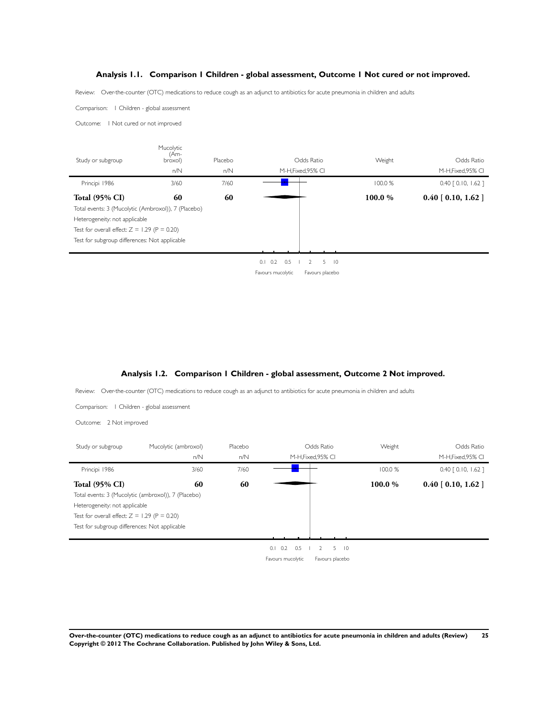#### **Analysis 1.1. Comparison 1 Children - global assessment, Outcome 1 Not cured or not improved.**

<span id="page-26-0"></span>Review: Over-the-counter (OTC) medications to reduce cough as an adjunct to antibiotics for acute pneumonia in children and adults

Comparison: 1 Children - global assessment

Outcome: 1 Not cured or not improved



#### **Analysis 1.2. Comparison 1 Children - global assessment, Outcome 2 Not improved.**

Review: Over-the-counter (OTC) medications to reduce cough as an adjunct to antibiotics for acute pneumonia in children and adults

Comparison: 1 Children - global assessment

Outcome: 2 Not improved

| Study or subgroup                              | Mucolytic (ambroxol)<br>n/N                         | Placebo<br>n/N |                   | Odds Ratio<br>M-H, Fixed, 95% CI       | Weight  | Odds Ratio<br>M-H, Fixed, 95% CI |
|------------------------------------------------|-----------------------------------------------------|----------------|-------------------|----------------------------------------|---------|----------------------------------|
| Principi 1986                                  | 3/60                                                | 7/60           |                   |                                        | 100.0%  | $0.40$ $[0.10, 1.62]$            |
| <b>Total (95% CI)</b>                          | 60                                                  | 60             |                   |                                        | 100.0 % | $0.40$ [ $0.10$ , $1.62$ ]       |
|                                                | Total events: 3 (Mucolytic (ambroxol)), 7 (Placebo) |                |                   |                                        |         |                                  |
| Heterogeneity: not applicable                  |                                                     |                |                   |                                        |         |                                  |
| Test for overall effect: $Z = 1.29$ (P = 0.20) |                                                     |                |                   |                                        |         |                                  |
| Test for subgroup differences: Not applicable  |                                                     |                |                   |                                        |         |                                  |
|                                                |                                                     |                |                   |                                        |         |                                  |
|                                                |                                                     |                | 0.2<br>0.1<br>0.5 | 5<br>$\overline{10}$<br>$\overline{2}$ |         |                                  |
|                                                |                                                     |                | Favours mucolytic | Favours placebo                        |         |                                  |
|                                                |                                                     |                |                   |                                        |         |                                  |
|                                                |                                                     |                |                   |                                        |         |                                  |
|                                                |                                                     |                |                   |                                        |         |                                  |
|                                                |                                                     |                |                   |                                        |         |                                  |

**Over-the-counter (OTC) medications to reduce cough as an adjunct to antibiotics for acute pneumonia in children and adults (Review) 25 Copyright © 2012 The Cochrane Collaboration. Published by John Wiley & Sons, Ltd.**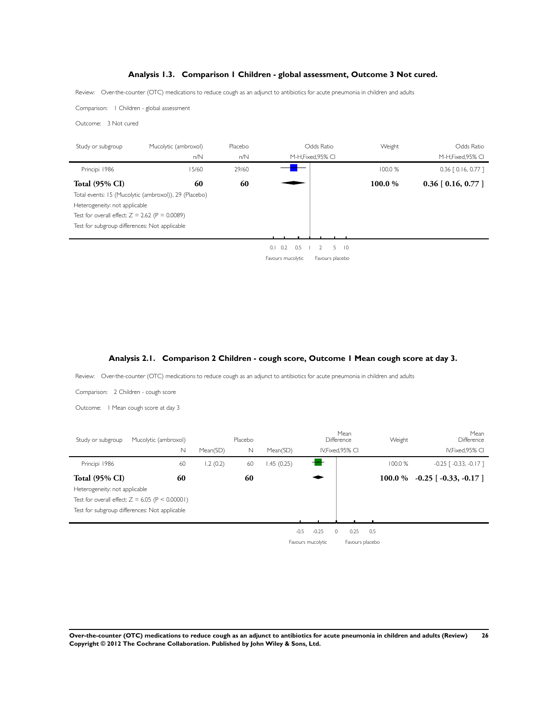## **Analysis 1.3. Comparison 1 Children - global assessment, Outcome 3 Not cured.**

<span id="page-27-0"></span>Review: Over-the-counter (OTC) medications to reduce cough as an adjunct to antibiotics for acute pneumonia in children and adults

Comparison: 1 Children - global assessment

Outcome: 3 Not cured

| Study or subgroup                                | Mucolytic (ambroxol)                                  | Placebo |                        | Odds Ratio                             | Weight  | Odds Ratio                 |
|--------------------------------------------------|-------------------------------------------------------|---------|------------------------|----------------------------------------|---------|----------------------------|
|                                                  | n/N                                                   | n/N     |                        | M-H, Fixed, 95% CI                     |         | M-H, Fixed, 95% CI         |
| Principi 1986                                    | 15/60                                                 | 29/60   |                        |                                        | 100.0 % | $0.36$ $[0.16, 0.77]$      |
| <b>Total (95% CI)</b>                            | 60                                                    | 60      |                        |                                        | 100.0 % | $0.36$ [ $0.16$ , $0.77$ ] |
|                                                  | Total events: 15 (Mucolytic (ambroxol)), 29 (Placebo) |         |                        |                                        |         |                            |
| Heterogeneity: not applicable                    |                                                       |         |                        |                                        |         |                            |
| Test for overall effect: $Z = 2.62$ (P = 0.0089) |                                                       |         |                        |                                        |         |                            |
| Test for subgroup differences: Not applicable    |                                                       |         |                        |                                        |         |                            |
|                                                  |                                                       |         |                        |                                        |         |                            |
|                                                  |                                                       |         | $0.1 \quad 0.2$<br>0.5 | 5<br>$\overline{10}$<br>$\overline{2}$ |         |                            |
|                                                  |                                                       |         | Favours mucolytic      | Favours placebo                        |         |                            |
|                                                  |                                                       |         |                        |                                        |         |                            |
|                                                  |                                                       |         |                        |                                        |         |                            |
|                                                  |                                                       |         |                        |                                        |         |                            |
|                                                  |                                                       |         |                        |                                        |         |                            |
|                                                  |                                                       |         |                        |                                        |         |                            |
|                                                  |                                                       |         |                        |                                        |         |                            |

#### **Analysis 2.1. Comparison 2 Children - cough score, Outcome 1 Mean cough score at day 3.**

Review: Over-the-counter (OTC) medications to reduce cough as an adjunct to antibiotics for acute pneumonia in children and adults

| Comparison: 2 Children - cough score                                                                                                                               |          |                       |            |                                 |                                |         |                                         |
|--------------------------------------------------------------------------------------------------------------------------------------------------------------------|----------|-----------------------|------------|---------------------------------|--------------------------------|---------|-----------------------------------------|
| I Mean cough score at day 3<br>Outcome:                                                                                                                            |          |                       |            |                                 |                                |         |                                         |
| Study or subgroup<br>Mucolytic (ambroxol)<br>$\hbox{N}$                                                                                                            | Mean(SD) | Placebo<br>$\hbox{N}$ | Mean(SD)   | Difference<br>IV, Fixed, 95% CI | Mean                           | Weight  | Mean<br>Difference<br>IV, Fixed, 95% CI |
| Principi 1986<br>60                                                                                                                                                | 1.2(0.2) | 60                    | 1.45(0.25) |                                 |                                | 100.0 % | $-0.25$ [ $-0.33$ , $-0.17$ ]           |
| <b>Total (95% CI)</b><br>60<br>Heterogeneity: not applicable<br>Test for overall effect: $Z = 6.05$ (P < 0.00001)<br>Test for subgroup differences: Not applicable |          | 60                    | $-0.5$     | $-0.25$<br>Favours mucolytic    | 0.25<br>0.5<br>Favours placebo |         | $100.0\%$ -0.25 [-0.33, -0.17]          |
|                                                                                                                                                                    |          |                       |            |                                 |                                |         |                                         |

**Over-the-counter (OTC) medications to reduce cough as an adjunct to antibiotics for acute pneumonia in children and adults (Review) 26 Copyright © 2012 The Cochrane Collaboration. Published by John Wiley & Sons, Ltd.**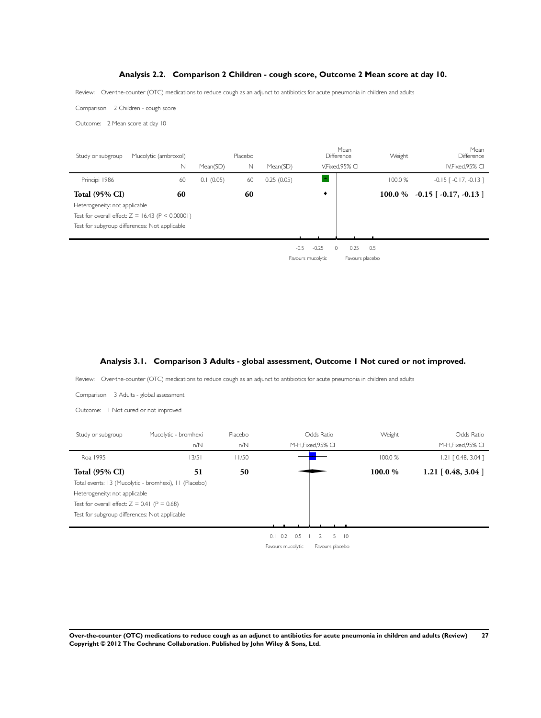## **Analysis 2.2. Comparison 2 Children - cough score, Outcome 2 Mean score at day 10.**

<span id="page-28-0"></span>Review: Over-the-counter (OTC) medications to reduce cough as an adjunct to antibiotics for acute pneumonia in children and adults

Comparison: 2 Children - cough score

Outcome: 2 Mean score at day 10

l.

| Study or subgroup                                      | Mucolytic (ambroxol)<br>N                                | Mean(SD)  | Placebo<br>N | Mean(SD)   |                              | Mean<br>Difference<br>IV, Fixed, 95% CI | Weight  | Mean<br>Difference<br>IV, Fixed, 95% CI |
|--------------------------------------------------------|----------------------------------------------------------|-----------|--------------|------------|------------------------------|-----------------------------------------|---------|-----------------------------------------|
| Principi 1986                                          | 60                                                       | 0.1(0.05) | 60           | 0.25(0.05) |                              |                                         | 100.0 % | $-0.15$ $\lceil -0.17, -0.13 \rceil$    |
| <b>Total (95% CI)</b><br>Heterogeneity: not applicable | 60<br>Test for overall effect: $Z = 16.43$ (P < 0.00001) |           | 60           |            | ٠                            |                                         |         | 100.0 % $-0.15$ [ $-0.17, -0.13$ ]      |
|                                                        | Test for subgroup differences: Not applicable            |           |              |            |                              |                                         |         |                                         |
|                                                        |                                                          |           |              | $-0.5$     | $-0.25$<br>Favours mucolytic | 0.25<br>Favours placebo                 | 0.5     |                                         |

## **Analysis 3.1. Comparison 3 Adults - global assessment, Outcome 1 Not cured or not improved.**

Review: Over-the-counter (OTC) medications to reduce cough as an adjunct to antibiotics for acute pneumonia in children and adults

| Comparison: 3 Adults - global assessment                                                                                         |                                                       |                |                        |                                        |         |                                   |
|----------------------------------------------------------------------------------------------------------------------------------|-------------------------------------------------------|----------------|------------------------|----------------------------------------|---------|-----------------------------------|
| Outcome:   Not cured or not improved                                                                                             |                                                       |                |                        |                                        |         |                                   |
| Study or subgroup                                                                                                                | Mucolytic - bromhexi<br>n/N                           | Placebo<br>n/N |                        | Odds Ratio<br>M-H, Fixed, 95% CI       | Weight  | Odds Ratio<br>M-H, Fixed, 95% CI  |
| Roa 1995                                                                                                                         | 13/51                                                 | 11/50          |                        |                                        | 100.0 % | $1.21$ $[0.48, 3.04]$             |
| <b>Total (95% CI)</b>                                                                                                            | 51                                                    | 50             |                        |                                        | 100.0%  | $1.21 \; [ \; 0.48, \; 3.04 \; ]$ |
| Heterogeneity: not applicable<br>Test for overall effect: $Z = 0.41$ (P = 0.68)<br>Test for subgroup differences: Not applicable | Total events: 13 (Mucolytic - bromhexi), 11 (Placebo) |                |                        |                                        |         |                                   |
|                                                                                                                                  |                                                       |                | $0.1 \quad 0.2$<br>0.5 | $\overline{2}$<br>5<br>$\overline{10}$ |         |                                   |
|                                                                                                                                  |                                                       |                | Favours mucolytic      | Favours placebo                        |         |                                   |
|                                                                                                                                  |                                                       |                |                        |                                        |         |                                   |

**Over-the-counter (OTC) medications to reduce cough as an adjunct to antibiotics for acute pneumonia in children and adults (Review) 27 Copyright © 2012 The Cochrane Collaboration. Published by John Wiley & Sons, Ltd.**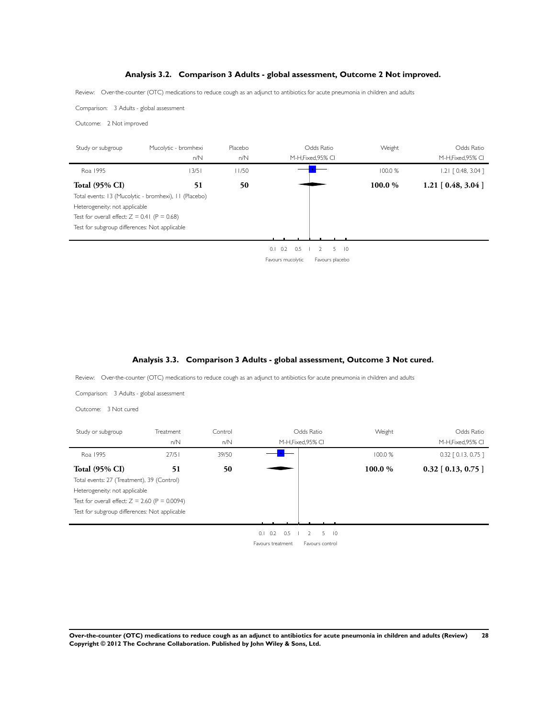## **Analysis 3.2. Comparison 3 Adults - global assessment, Outcome 2 Not improved.**

<span id="page-29-0"></span>Review: Over-the-counter (OTC) medications to reduce cough as an adjunct to antibiotics for acute pneumonia in children and adults

Comparison: 3 Adults - global assessment

Outcome: 2 Not improved

| Study or subgroup                              | Mucolytic - bromhexi                                  | Placebo |                        | Odds Ratio                | Weight  | Odds Ratio            |
|------------------------------------------------|-------------------------------------------------------|---------|------------------------|---------------------------|---------|-----------------------|
|                                                | n/N                                                   | n/N     |                        | M-H, Fixed, 95% CI        |         | M-H, Fixed, 95% CI    |
| Roa 1995                                       | 13/51                                                 | 11/50   |                        |                           | 100.0 % | $1.21$ $[0.48, 3.04]$ |
| <b>Total (95% CI)</b>                          | 51                                                    | 50      |                        |                           | 100.0 % | $1.21$ [ 0.48, 3.04 ] |
|                                                | Total events: 13 (Mucolytic - bromhexi), 11 (Placebo) |         |                        |                           |         |                       |
| Heterogeneity: not applicable                  |                                                       |         |                        |                           |         |                       |
| Test for overall effect: $Z = 0.41$ (P = 0.68) |                                                       |         |                        |                           |         |                       |
| Test for subgroup differences: Not applicable  |                                                       |         |                        |                           |         |                       |
|                                                |                                                       |         |                        |                           |         |                       |
|                                                |                                                       |         | $0.1 \quad 0.2$<br>0.5 | 5<br>$\overline{10}$<br>2 |         |                       |
|                                                |                                                       |         | Favours mucolytic      | Favours placebo           |         |                       |
|                                                |                                                       |         |                        |                           |         |                       |
|                                                |                                                       |         |                        |                           |         |                       |

## **Analysis 3.3. Comparison 3 Adults - global assessment, Outcome 3 Not cured.**

Review: Over-the-counter (OTC) medications to reduce cough as an adjunct to antibiotics for acute pneumonia in children and adults

| Comparison: 3 Adults - global assessment         |           |         |                   |                      |         |                       |
|--------------------------------------------------|-----------|---------|-------------------|----------------------|---------|-----------------------|
| Outcome: 3 Not cured                             |           |         |                   |                      |         |                       |
| Study or subgroup                                | Treatment | Control |                   | Odds Ratio           | Weight  | Odds Ratio            |
|                                                  | n/N       | n/N     |                   | M-H, Fixed, 95% CI   |         | M-H, Fixed, 95% CI    |
| Roa 1995                                         | 27/51     | 39/50   |                   |                      | 100.0 % | $0.32$ $[0.13, 0.75]$ |
| <b>Total (95% CI)</b>                            | 51        | 50      |                   |                      | 100.0%  | $0.32$ [ 0.13, 0.75 ] |
| Total events: 27 (Treatment), 39 (Control)       |           |         |                   |                      |         |                       |
| Heterogeneity: not applicable                    |           |         |                   |                      |         |                       |
| Test for overall effect: $Z = 2.60$ (P = 0.0094) |           |         |                   |                      |         |                       |
| Test for subgroup differences: Not applicable    |           |         |                   |                      |         |                       |
|                                                  |           |         |                   |                      |         |                       |
|                                                  |           |         | 0.2<br>0.5<br>0.1 | 5<br>$\overline{10}$ |         |                       |
|                                                  |           |         | Favours treatment | Favours control      |         |                       |
|                                                  |           |         |                   |                      |         |                       |

**Over-the-counter (OTC) medications to reduce cough as an adjunct to antibiotics for acute pneumonia in children and adults (Review) 28 Copyright © 2012 The Cochrane Collaboration. Published by John Wiley & Sons, Ltd.**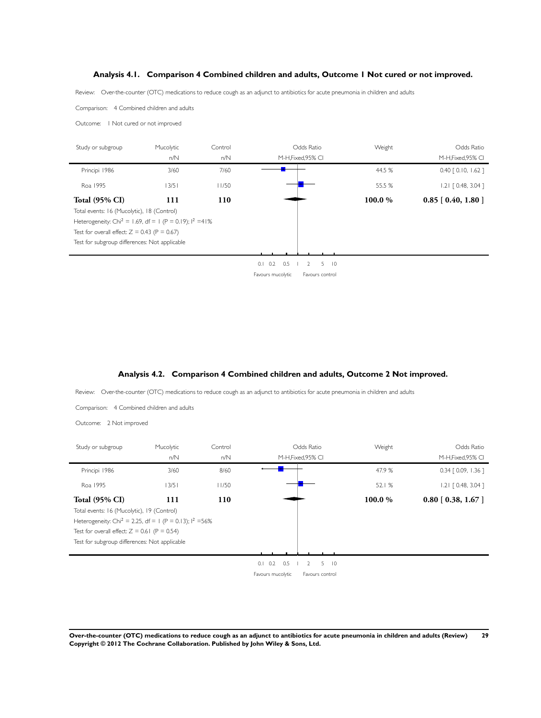## **Analysis 4.1. Comparison 4 Combined children and adults, Outcome 1 Not cured or not improved.**

<span id="page-30-0"></span>Review: Over-the-counter (OTC) medications to reduce cough as an adjunct to antibiotics for acute pneumonia in children and adults

Comparison: 4 Combined children and adults

Outcome: 1 Not cured or not improved

| Study or subgroup                                                     | Mucolytic | Control | Odds Ratio                                          | Weight  | Odds Ratio              |
|-----------------------------------------------------------------------|-----------|---------|-----------------------------------------------------|---------|-------------------------|
|                                                                       | n/N       | n/N     | M-H, Fixed, 95% CI                                  |         | M-H, Fixed, 95% CI      |
| Principi 1986                                                         | 3/60      | 7/60    |                                                     | 44.5 %  | $0.40$ $[0.10, 1.62]$   |
| Roa 1995                                                              | 13/51     | 11/50   |                                                     | 55.5 %  | $1.21$ $[0.48, 3.04]$   |
| <b>Total (95% CI)</b>                                                 | 111       | 110     |                                                     | 100.0 % | $0.85$ [ $0.40, 1.80$ ] |
| Total events: 16 (Mucolytic), 18 (Control)                            |           |         |                                                     |         |                         |
| Heterogeneity: Chi <sup>2</sup> = 1.69, df = 1 (P = 0.19); $1^2$ =41% |           |         |                                                     |         |                         |
| Test for overall effect: $Z = 0.43$ (P = 0.67)                        |           |         |                                                     |         |                         |
| Test for subgroup differences: Not applicable                         |           |         |                                                     |         |                         |
|                                                                       |           |         |                                                     |         |                         |
|                                                                       |           |         | 0.2<br>0.5<br>$5 \quad 10$<br>$\overline{2}$<br>0.1 |         |                         |
|                                                                       |           |         | Favours mucolytic<br>Favours control                |         |                         |

## **Analysis 4.2. Comparison 4 Combined children and adults, Outcome 2 Not improved.**

Review: Over-the-counter (OTC) medications to reduce cough as an adjunct to antibiotics for acute pneumonia in children and adults

Comparison: 4 Combined children and adults

Outcome: 2 Not improved

÷.

| Study or subgroup                                                     | Mucolytic | Control | Odds Ratio                                                  | Weight | Odds Ratio            |
|-----------------------------------------------------------------------|-----------|---------|-------------------------------------------------------------|--------|-----------------------|
|                                                                       | n/N       | n/N     | M-H, Fixed, 95% CI                                          |        | M-H, Fixed, 95% CI    |
| Principi 1986                                                         | 3/60      | 8/60    |                                                             | 47.9 % | $0.34$ $[0.09, 1.36]$ |
| Roa 1995                                                              | 13/51     | 11/50   |                                                             | 52.1%  | $1.21$ $[0.48, 3.04]$ |
| <b>Total (95% CI)</b>                                                 | 111       | 110     |                                                             | 100.0% | $0.80$ [ 0.38, 1.67 ] |
| Total events: 16 (Mucolytic), 19 (Control)                            |           |         |                                                             |        |                       |
| Heterogeneity: Chi <sup>2</sup> = 2.25, df = 1 (P = 0.13); $1^2$ =56% |           |         |                                                             |        |                       |
| Test for overall effect: $Z = 0.61$ (P = 0.54)                        |           |         |                                                             |        |                       |
| Test for subgroup differences: Not applicable                         |           |         |                                                             |        |                       |
|                                                                       |           |         |                                                             |        |                       |
|                                                                       |           |         | $0.1$ $0.2$ $0.5$<br>5<br>$\overline{2}$<br>$\overline{10}$ |        |                       |
|                                                                       |           |         | Favours mucolytic<br>Favours control                        |        |                       |
|                                                                       |           |         |                                                             |        |                       |

**Over-the-counter (OTC) medications to reduce cough as an adjunct to antibiotics for acute pneumonia in children and adults (Review) 29 Copyright © 2012 The Cochrane Collaboration. Published by John Wiley & Sons, Ltd.**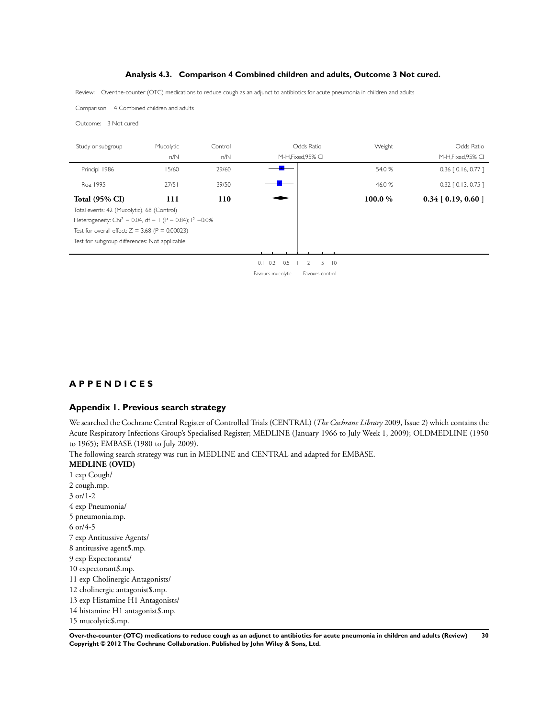#### **Analysis 4.3. Comparison 4 Combined children and adults, Outcome 3 Not cured.**

Review: Over-the-counter (OTC) medications to reduce cough as an adjunct to antibiotics for acute pneumonia in children and adults

Comparison: 4 Combined children and adults

Outcome: 3 Not cured

| Mucolytic                                         | Control |                                                                        |                           | Weight                           | Odds Ratio            |
|---------------------------------------------------|---------|------------------------------------------------------------------------|---------------------------|----------------------------------|-----------------------|
| n/N                                               | n/N     |                                                                        |                           |                                  | M-H, Fixed, 95% CI    |
| 15/60                                             | 29/60   | ┱                                                                      |                           | 54.0 %                           | $0.36$ $[0.16, 0.77]$ |
| 27/51                                             | 39/50   |                                                                        |                           | 46.0 %                           | $0.32$ $[0.13, 0.75]$ |
| 111                                               | 110     |                                                                        |                           | 100.0 %                          | $0.34$ [ 0.19, 0.60 ] |
| Total events: 42 (Mucolytic), 68 (Control)        |         |                                                                        |                           |                                  |                       |
|                                                   |         |                                                                        |                           |                                  |                       |
| Test for overall effect: $Z = 3.68$ (P = 0.00023) |         |                                                                        |                           |                                  |                       |
| Test for subgroup differences: Not applicable     |         |                                                                        |                           |                                  |                       |
|                                                   |         |                                                                        |                           |                                  |                       |
|                                                   |         | $0.1 \quad 0.2$<br>0.5                                                 | 5<br>$\overline{10}$<br>2 |                                  |                       |
|                                                   |         | Favours mucolytic                                                      | Favours control           |                                  |                       |
|                                                   |         |                                                                        |                           |                                  |                       |
|                                                   |         |                                                                        |                           |                                  |                       |
|                                                   |         | Heterogeneity: Chi <sup>2</sup> = 0.04, df = 1 (P = 0.84); $1^2$ =0.0% |                           | Odds Ratio<br>M-H, Fixed, 95% CI |                       |

## **A P P E N D I C E S**

## **Appendix 1. Previous search strategy**

We searched the Cochrane Central Register of Controlled Trials (CENTRAL) (*The Cochrane Library* 2009, Issue 2) which contains the Acute Respiratory Infections Group's Specialised Register; MEDLINE (January 1966 to July Week 1, 2009); OLDMEDLINE (1950 to 1965); EMBASE (1980 to July 2009).

The following search strategy was run in MEDLINE and CENTRAL and adapted for EMBASE.

**MEDLINE (OVID)** 1 exp Cough/ 2 cough.mp. 3 or/1-2 4 exp Pneumonia/ 5 pneumonia.mp. 6 or/4-5 7 exp Antitussive Agents/ 8 antitussive agent\$.mp. 9 exp Expectorants/ 10 expectorant\$.mp. 11 exp Cholinergic Antagonists/ 12 cholinergic antagonist\$.mp. 13 exp Histamine H1 Antagonists/ 14 histamine H1 antagonist\$.mp. 15 mucolytic\$.mp.

**Over-the-counter (OTC) medications to reduce cough as an adjunct to antibiotics for acute pneumonia in children and adults (Review) 30 Copyright © 2012 The Cochrane Collaboration. Published by John Wiley & Sons, Ltd.**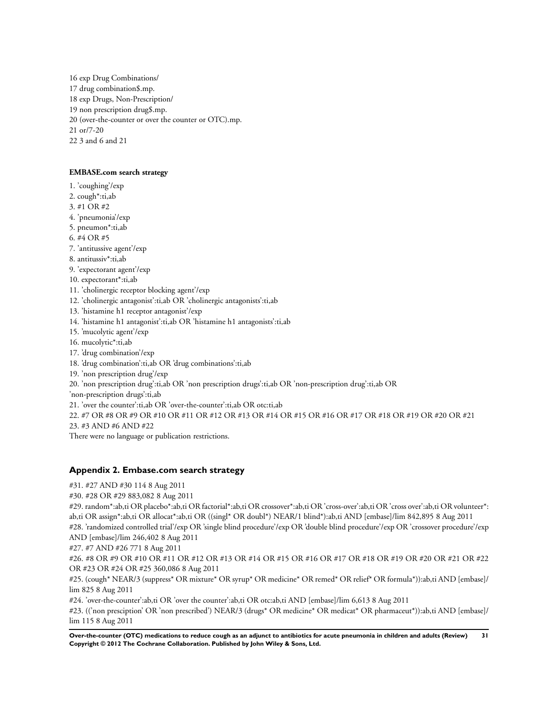<span id="page-32-0"></span>16 exp Drug Combinations/ 17 drug combination\$.mp. 18 exp Drugs, Non-Prescription/ 19 non prescription drug\$.mp. 20 (over-the-counter or over the counter or OTC).mp. 21 or/7-20 22 3 and 6 and 21

#### **EMBASE.com search strategy**

1. 'coughing'/exp

2. cough\*:ti,ab

3. #1 OR #2

- 4. 'pneumonia'/exp
- 5. pneumon\*:ti,ab
- 6. #4 OR #5
- 7. 'antitussive agent'/exp
- 8. antitussiv\*:ti,ab
- 9. 'expectorant agent'/exp
- 10. expectorant\*:ti,ab
- 11. 'cholinergic receptor blocking agent'/exp
- 12. 'cholinergic antagonist':ti,ab OR 'cholinergic antagonists':ti,ab
- 13. 'histamine h1 receptor antagonist'/exp
- 14. 'histamine h1 antagonist':ti,ab OR 'histamine h1 antagonists':ti,ab
- 15. 'mucolytic agent'/exp
- 16. mucolytic\*:ti,ab
- 17. 'drug combination'/exp
- 18. 'drug combination':ti,ab OR 'drug combinations':ti,ab
- 19. 'non prescription drug'/exp
- 20. 'non prescription drug':ti,ab OR 'non prescription drugs':ti,ab OR 'non-prescription drug':ti,ab OR

'non-prescription drugs':ti,ab

21. 'over the counter':ti,ab OR 'over-the-counter':ti,ab OR otc:ti,ab

22. #7 OR #8 OR #9 OR #10 OR #11 OR #12 OR #13 OR #14 OR #15 OR #16 OR #17 OR #18 OR #19 OR #20 OR #21

23. #3 AND #6 AND #22

There were no language or publication restrictions.

## **Appendix 2. Embase.com search strategy**

- #31. #27 AND #30 114 8 Aug 2011
- #30. #28 OR #29 883,082 8 Aug 2011

#29. random\*:ab,ti OR placebo\*:ab,ti OR factorial\*:ab,ti OR crossover\*:ab,ti OR 'cross-over':ab,ti OR 'cross over':ab,ti OR volunteer\*: ab,ti OR assign\*:ab,ti OR allocat\*:ab,ti OR ((singl\* OR doubl\*) NEAR/1 blind\*):ab,ti AND [embase]/lim 842,895 8 Aug 2011 #28. 'randomized controlled trial'/exp OR 'single blind procedure'/exp OR 'double blind procedure'/exp OR 'crossover procedure'/exp

AND [embase]/lim 246,402 8 Aug 2011

#27. #7 AND #26 771 8 Aug 2011

#26. #8 OR #9 OR #10 OR #11 OR #12 OR #13 OR #14 OR #15 OR #16 OR #17 OR #18 OR #19 OR #20 OR #21 OR #22 OR #23 OR #24 OR #25 360,086 8 Aug 2011

#25. (cough\* NEAR/3 (suppress\* OR mixture\* OR syrup\* OR medicine\* OR remed\* OR relief\* OR formula\*)):ab,ti AND [embase]/ lim 825 8 Aug 2011

#24. 'over-the-counter':ab,ti OR 'over the counter':ab,ti OR otc:ab,ti AND [embase]/lim 6,613 8 Aug 2011

#23. (('non presciption' OR 'non prescribed') NEAR/3 (drugs\* OR medicine\* OR medicat\* OR pharmaceut\*)):ab,ti AND [embase]/ lim 115 8 Aug 2011

**Over-the-counter (OTC) medications to reduce cough as an adjunct to antibiotics for acute pneumonia in children and adults (Review) 31 Copyright © 2012 The Cochrane Collaboration. Published by John Wiley & Sons, Ltd.**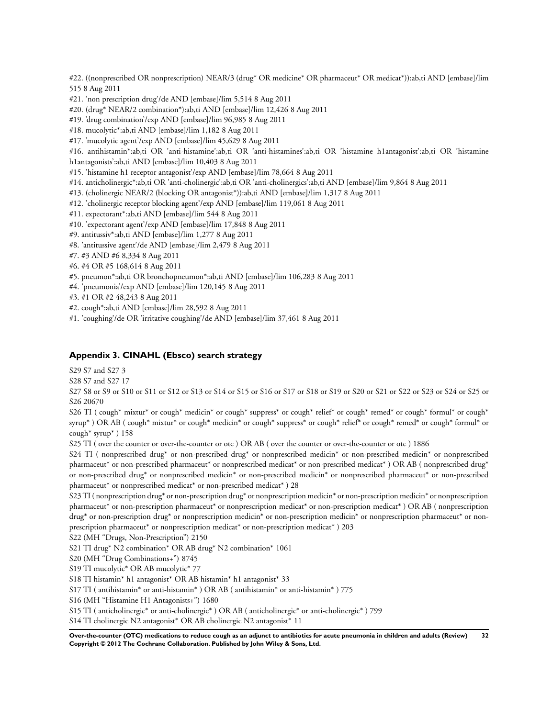<span id="page-33-0"></span>#22. ((nonprescribed OR nonprescription) NEAR/3 (drug\* OR medicine\* OR pharmaceut\* OR medicat\*)):ab,ti AND [embase]/lim 515 8 Aug 2011

#21. 'non prescription drug'/de AND [embase]/lim 5,514 8 Aug 2011

#20. (drug\* NEAR/2 combination\*):ab,ti AND [embase]/lim 12,426 8 Aug 2011

#19. 'drug combination'/exp AND [embase]/lim 96,985 8 Aug 2011

#18. mucolytic\*:ab,ti AND [embase]/lim 1,182 8 Aug 2011

#17. 'mucolytic agent'/exp AND [embase]/lim 45,629 8 Aug 2011

#16. antihistamin\*:ab,ti OR 'anti-histamine':ab,ti OR 'anti-histamines':ab,ti OR 'histamine h1antagonist':ab,ti OR 'histamine h1antagonists':ab,ti AND [embase]/lim 10,403 8 Aug 2011

#15. 'histamine h1 receptor antagonist'/exp AND [embase]/lim 78,664 8 Aug 2011

#14. anticholinergic\*:ab,ti OR 'anti-cholinergic':ab,ti OR 'anti-cholinergics':ab,ti AND [embase]/lim 9,864 8 Aug 2011

#13. (cholinergic NEAR/2 (blocking OR antagonist\*)):ab,ti AND [embase]/lim 1,317 8 Aug 2011

#12. 'cholinergic receptor blocking agent'/exp AND [embase]/lim 119,061 8 Aug 2011

#11. expectorant\*:ab,ti AND [embase]/lim 544 8 Aug 2011

#10. 'expectorant agent'/exp AND [embase]/lim 17,848 8 Aug 2011

#9. antitussiv\*:ab,ti AND [embase]/lim 1,277 8 Aug 2011

#8. 'antitussive agent'/de AND [embase]/lim 2,479 8 Aug 2011

#7. #3 AND #6 8,334 8 Aug 2011

#6. #4 OR #5 168,614 8 Aug 2011

#5. pneumon\*:ab,ti OR bronchopneumon\*:ab,ti AND [embase]/lim 106,283 8 Aug 2011

#4. 'pneumonia'/exp AND [embase]/lim 120,145 8 Aug 2011

#3. #1 OR #2 48,243 8 Aug 2011

#2. cough\*:ab,ti AND [embase]/lim 28,592 8 Aug 2011

#1. 'coughing'/de OR 'irritative coughing'/de AND [embase]/lim 37,461 8 Aug 2011

#### **Appendix 3. CINAHL (Ebsco) search strategy**

S29 S7 and S27 3

S28 S7 and S27 17

S27 S8 or S9 or S10 or S11 or S12 or S13 or S14 or S15 or S16 or S17 or S18 or S19 or S20 or S21 or S22 or S23 or S24 or S25 or S26 20670

S26 TI ( cough\* mixtur\* or cough\* medicin\* or cough\* suppress\* or cough\* relief\* or cough\* remed\* or cough\* formul\* or cough\* syrup\* ) OR AB ( cough\* mixtur\* or cough\* medicin\* or cough\* suppress\* or cough\* relief\* or cough\* remed\* or cough\* formul\* or cough\* syrup\*  $)$  158

S25 TI ( over the counter or over-the-counter or otc ) OR AB ( over the counter or over-the-counter or otc ) 1886

S24 TI ( nonprescribed drug\* or non-prescribed drug\* or nonprescribed medicin\* or non-prescribed medicin\* or nonprescribed pharmaceut\* or non-prescribed pharmaceut\* or nonprescribed medicat\* or non-prescribed medicat\* ) OR AB ( nonprescribed drug\* or non-prescribed drug\* or nonprescribed medicin\* or non-prescribed medicin\* or nonprescribed pharmaceut\* or non-prescribed pharmaceut\* or nonprescribed medicat\* or non-prescribed medicat\* ) 28

S23 TI ( nonprescription drug\* or non-prescription drug\* or nonprescription medicin\* or non-prescription medicin\* or nonprescription pharmaceut\* or non-prescription pharmaceut\* or nonprescription medicat\* or non-prescription medicat\* ) OR AB ( nonprescription drug\* or non-prescription drug\* or nonprescription medicin\* or non-prescription medicin\* or nonprescription pharmaceut\* or nonprescription pharmaceut\* or nonprescription medicat\* or non-prescription medicat\* ) 203

S22 (MH "Drugs, Non-Prescription") 2150

S21 TI drug\* N2 combination\* OR AB drug\* N2 combination\* 1061

S20 (MH "Drug Combinations+") 8745

S19 TI mucolytic\* OR AB mucolytic\* 77

S18 TI histamin\* h1 antagonist\* OR AB histamin\* h1 antagonist\* 33

S17 TI ( antihistamin\* or anti-histamin\* ) OR AB ( antihistamin\* or anti-histamin\* ) 775

S16 (MH "Histamine H1 Antagonists+") 1680

S15 TI ( anticholinergic\* or anti-cholinergic\* ) OR AB ( anticholinergic\* or anti-cholinergic\* ) 799

S14 TI cholinergic N2 antagonist\* OR AB cholinergic N2 antagonist\* 11

**Over-the-counter (OTC) medications to reduce cough as an adjunct to antibiotics for acute pneumonia in children and adults (Review) 32 Copyright © 2012 The Cochrane Collaboration. Published by John Wiley & Sons, Ltd.**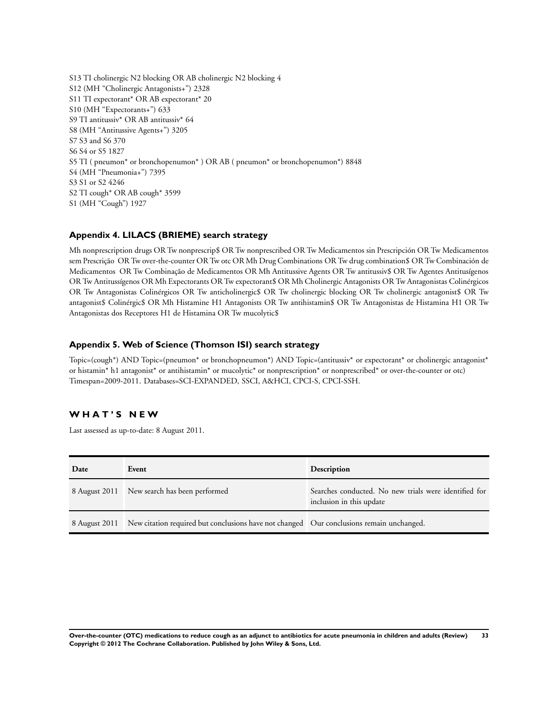<span id="page-34-0"></span>S13 TI cholinergic N2 blocking OR AB cholinergic N2 blocking 4 S12 (MH "Cholinergic Antagonists+") 2328 S11 TI expectorant\* OR AB expectorant\* 20 S10 (MH "Expectorants+") 633 S9 TI antitussiv\* OR AB antitussiv\* 64 S8 (MH "Antitussive Agents+") 3205 S7 S3 and S6 370 S6 S4 or S5 1827 S5 TI ( pneumon\* or bronchopenumon\* ) OR AB ( pneumon\* or bronchopenumon\*) 8848 S4 (MH "Pneumonia+") 7395 S3 S1 or S2 4246 S2 TI cough\* OR AB cough\* 3599 S1 (MH "Cough") 1927

## **Appendix 4. LILACS (BRIEME) search strategy**

Mh nonprescription drugs OR Tw nonprescrip\$ OR Tw nonprescribed OR Tw Medicamentos sin Prescripción OR Tw Medicamentos sem Prescrição OR Tw over-the-counter OR Tw otc OR Mh Drug Combinations OR Tw drug combination\$ OR Tw Combinación de Medicamentos OR Tw Combinação de Medicamentos OR Mh Antitussive Agents OR Tw antitussiv\$ OR Tw Agentes Antitusígenos OR Tw Antitussígenos OR Mh Expectorants OR Tw expectorant\$ OR Mh Cholinergic Antagonists OR Tw Antagonistas Colinérgicos OR Tw Antagonistas Colinérgicos OR Tw anticholinergic\$ OR Tw cholinergic blocking OR Tw cholinergic antagonist\$ OR Tw antagonist\$ Colinérgic\$ OR Mh Histamine H1 Antagonists OR Tw antihistamin\$ OR Tw Antagonistas de Histamina H1 OR Tw Antagonistas dos Receptores H1 de Histamina OR Tw mucolytic\$

### **Appendix 5. Web of Science (Thomson ISI) search strategy**

Topic=(cough\*) AND Topic=(pneumon\* or bronchopneumon\*) AND Topic=(antitussiv\* or expectorant\* or cholinergic antagonist\* or histamin\* h1 antagonist\* or antihistamin\* or mucolytic\* or nonprescription\* or nonprescribed\* or over-the-counter or otc) Timespan=2009-2011. Databases=SCI-EXPANDED, SSCI, A&HCI, CPCI-S, CPCI-SSH.

## **W H A T ' S N E W**

Last assessed as up-to-date: 8 August 2011.

| Date          | Event                                                                                     | <b>Description</b>                                                                |
|---------------|-------------------------------------------------------------------------------------------|-----------------------------------------------------------------------------------|
|               | 8 August 2011 New search has been performed                                               | Searches conducted. No new trials were identified for<br>inclusion in this update |
| 8 August 2011 | New citation required but conclusions have not changed  Our conclusions remain unchanged. |                                                                                   |

**Over-the-counter (OTC) medications to reduce cough as an adjunct to antibiotics for acute pneumonia in children and adults (Review) 33 Copyright © 2012 The Cochrane Collaboration. Published by John Wiley & Sons, Ltd.**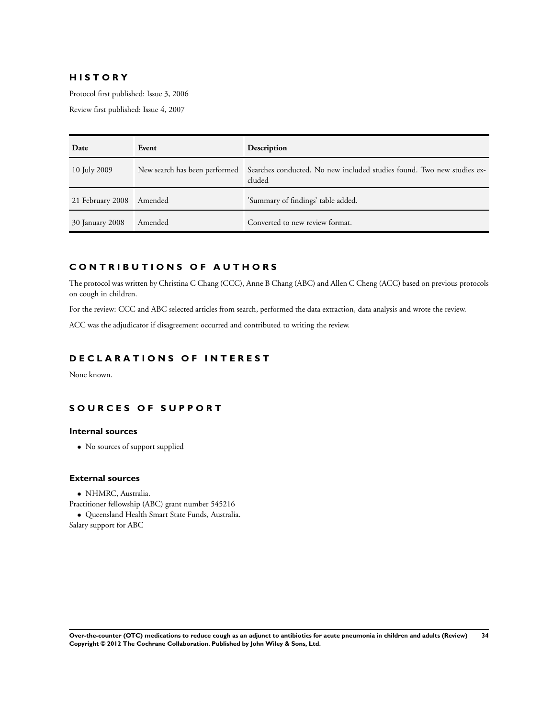## **H I S T O R Y**

Protocol first published: Issue 3, 2006

Review first published: Issue 4, 2007

| Date             | Event   | Description                                                                                                    |
|------------------|---------|----------------------------------------------------------------------------------------------------------------|
| 10 July 2009     |         | New search has been performed Searches conducted. No new included studies found. Two new studies ex-<br>cluded |
| 21 February 2008 | Amended | 'Summary of findings' table added.                                                                             |
| 30 January 2008  | Amended | Converted to new review format.                                                                                |

## **C O N T R I B U T I O N S O F A U T H O R S**

The protocol was written by Christina C Chang (CCC), Anne B Chang (ABC) and Allen C Cheng (ACC) based on previous protocols on cough in children.

For the review: CCC and ABC selected articles from search, performed the data extraction, data analysis and wrote the review.

ACC was the adjudicator if disagreement occurred and contributed to writing the review.

## **D E C L A R A T I O N S O F I N T E R E S T**

None known.

## **S O U R C E S O F S U P P O R T**

## **Internal sources**

• No sources of support supplied

#### **External sources**

- NHMRC, Australia.
- Practitioner fellowship (ABC) grant number 545216
- Queensland Health Smart State Funds, Australia. Salary support for ABC

**Over-the-counter (OTC) medications to reduce cough as an adjunct to antibiotics for acute pneumonia in children and adults (Review) 34 Copyright © 2012 The Cochrane Collaboration. Published by John Wiley & Sons, Ltd.**